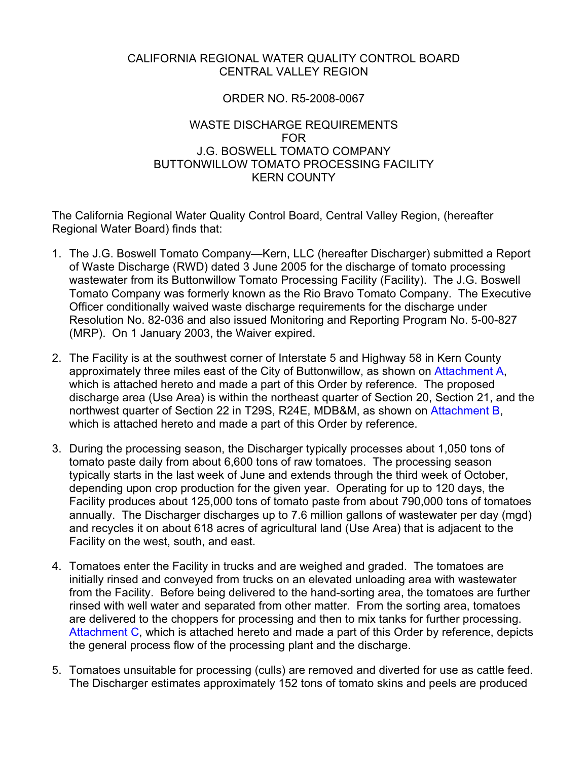## CALIFORNIA REGIONAL WATER QUALITY CONTROL BOARD CENTRAL VALLEY REGION

#### ORDER NO. R5-2008-0067

#### WASTE DISCHARGE REQUIREMENTS FOR J.G. BOSWELL TOMATO COMPANY BUTTONWILLOW TOMATO PROCESSING FACILITY KERN COUNTY

The California Regional Water Quality Control Board, Central Valley Region, (hereafter Regional Water Board) finds that:

- 1. The J.G. Boswell Tomato Company—Kern, LLC (hereafter Discharger) submitted a Report of Waste Discharge (RWD) dated 3 June 2005 for the discharge of tomato processing wastewater from its Buttonwillow Tomato Processing Facility (Facility). The J.G. Boswell Tomato Company was formerly known as the Rio Bravo Tomato Company. The Executive Officer conditionally waived waste discharge requirements for the discharge under Resolution No. 82-036 and also issued Monitoring and Reporting Program No. 5-00-827 (MRP). On 1 January 2003, the Waiver expired.
- 2. The Facility is at the southwest corner of Interstate 5 and Highway 58 in Kern County approximately three miles east of the City of Buttonwillow, as shown on Attachment A, which is attached hereto and made a part of this Order by reference. The proposed discharge area (Use Area) is within the northeast quarter of Section 20, Section 21, and the northwest quarter of Section 22 in T29S, R24E, MDB&M, as shown on Attachment B, which is attached hereto and made a part of this Order by reference.
- 3. During the processing season, the Discharger typically processes about 1,050 tons of tomato paste daily from about 6,600 tons of raw tomatoes. The processing season typically starts in the last week of June and extends through the third week of October, depending upon crop production for the given year. Operating for up to 120 days, the Facility produces about 125,000 tons of tomato paste from about 790,000 tons of tomatoes annually. The Discharger discharges up to 7.6 million gallons of wastewater per day (mgd) and recycles it on about 618 acres of agricultural land (Use Area) that is adjacent to the Facility on the west, south, and east.
- 4. Tomatoes enter the Facility in trucks and are weighed and graded. The tomatoes are initially rinsed and conveyed from trucks on an elevated unloading area with wastewater from the Facility. Before being delivered to the hand-sorting area, the tomatoes are further rinsed with well water and separated from other matter. From the sorting area, tomatoes are delivered to the choppers for processing and then to mix tanks for further processing. Attachment C, which is attached hereto and made a part of this Order by reference, depicts the general process flow of the processing plant and the discharge.
- 5. Tomatoes unsuitable for processing (culls) are removed and diverted for use as cattle feed. The Discharger estimates approximately 152 tons of tomato skins and peels are produced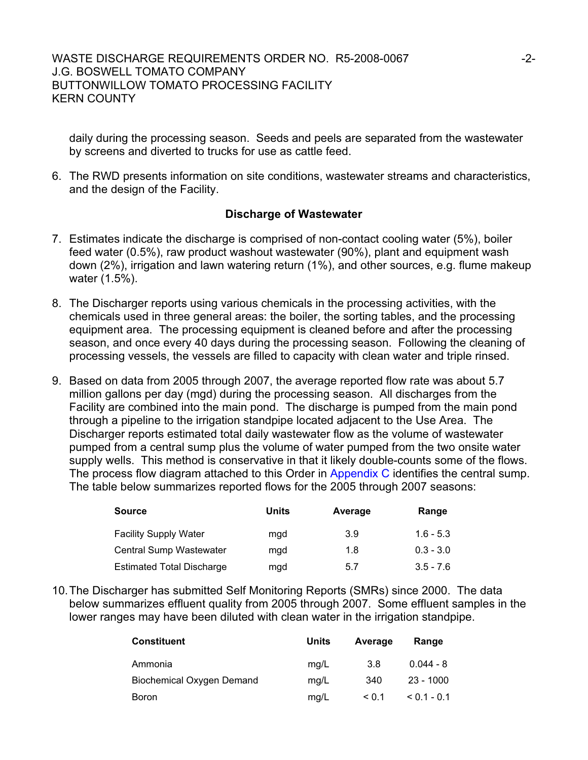daily during the processing season. Seeds and peels are separated from the wastewater by screens and diverted to trucks for use as cattle feed.

6. The RWD presents information on site conditions, wastewater streams and characteristics, and the design of the Facility.

#### **Discharge of Wastewater**

- 7. Estimates indicate the discharge is comprised of non-contact cooling water (5%), boiler feed water (0.5%), raw product washout wastewater (90%), plant and equipment wash down (2%), irrigation and lawn watering return (1%), and other sources, e.g. flume makeup water (1.5%).
- 8. The Discharger reports using various chemicals in the processing activities, with the chemicals used in three general areas: the boiler, the sorting tables, and the processing equipment area. The processing equipment is cleaned before and after the processing season, and once every 40 days during the processing season. Following the cleaning of processing vessels, the vessels are filled to capacity with clean water and triple rinsed.
- 9. Based on data from 2005 through 2007, the average reported flow rate was about 5.7 million gallons per day (mgd) during the processing season. All discharges from the Facility are combined into the main pond. The discharge is pumped from the main pond through a pipeline to the irrigation standpipe located adjacent to the Use Area. The Discharger reports estimated total daily wastewater flow as the volume of wastewater pumped from a central sump plus the volume of water pumped from the two onsite water supply wells. This method is conservative in that it likely double-counts some of the flows. The process flow diagram attached to this Order in Appendix C identifies the central sump. The table below summarizes reported flows for the 2005 through 2007 seasons:

| <b>Source</b>                    | Units | Average | Range       |
|----------------------------------|-------|---------|-------------|
| <b>Facility Supply Water</b>     | mgd   | 3.9     | $1.6 - 5.3$ |
| <b>Central Sump Wastewater</b>   | mgd   | 1.8     | $0.3 - 3.0$ |
| <b>Estimated Total Discharge</b> | mgd   | 5.7     | $3.5 - 7.6$ |

10. The Discharger has submitted Self Monitoring Reports (SMRs) since 2000. The data below summarizes effluent quality from 2005 through 2007. Some effluent samples in the lower ranges may have been diluted with clean water in the irrigation standpipe.

| Constituent                      | Units | Average   | Range       |
|----------------------------------|-------|-----------|-------------|
| Ammonia                          | mq/L  | 3.8       | $0.044 - 8$ |
| <b>Biochemical Oxygen Demand</b> | mq/L  | 340       | $23 - 1000$ |
| Boron                            | mq/L  | $\le 0.1$ | $0.1 - 0.1$ |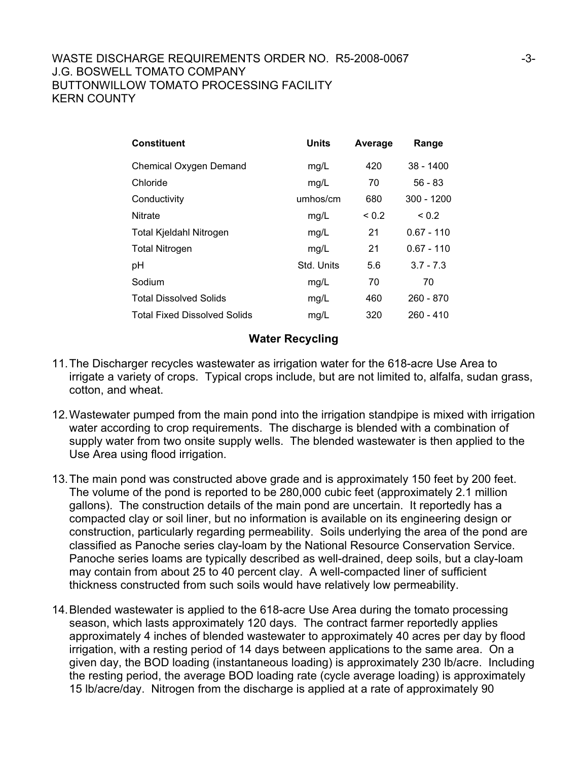| <b>Constituent</b>                  | <b>Units</b> | Average    | Range        |
|-------------------------------------|--------------|------------|--------------|
| Chemical Oxygen Demand              | mg/L         | 420        | $38 - 1400$  |
| Chloride                            | mg/L         | 70         | $56 - 83$    |
| Conductivity                        | umhos/cm     | 680        | $300 - 1200$ |
| <b>Nitrate</b>                      | mg/L         | ${}_{0.2}$ | ${}_{0.2}$   |
| <b>Total Kjeldahl Nitrogen</b>      | mg/L         | 21         | $0.67 - 110$ |
| Total Nitrogen                      | mg/L         | 21         | $0.67 - 110$ |
| pH                                  | Std. Units   | 5.6        | $3.7 - 7.3$  |
| Sodium                              | mg/L         | 70         | 70           |
| <b>Total Dissolved Solids</b>       | mg/L         | 460        | $260 - 870$  |
| <b>Total Fixed Dissolved Solids</b> | mg/L         | 320        | 260 - 410    |

#### **Water Recycling**

- 11. The Discharger recycles wastewater as irrigation water for the 618-acre Use Area to irrigate a variety of crops. Typical crops include, but are not limited to, alfalfa, sudan grass, cotton, and wheat.
- 12. Wastewater pumped from the main pond into the irrigation standpipe is mixed with irrigation water according to crop requirements. The discharge is blended with a combination of supply water from two onsite supply wells. The blended wastewater is then applied to the Use Area using flood irrigation.
- 13. The main pond was constructed above grade and is approximately 150 feet by 200 feet. The volume of the pond is reported to be 280,000 cubic feet (approximately 2.1 million gallons). The construction details of the main pond are uncertain. It reportedly has a compacted clay or soil liner, but no information is available on its engineering design or construction, particularly regarding permeability. Soils underlying the area of the pond are classified as Panoche series clay-loam by the National Resource Conservation Service. Panoche series loams are typically described as well-drained, deep soils, but a clay-loam may contain from about 25 to 40 percent clay. A well-compacted liner of sufficient thickness constructed from such soils would have relatively low permeability.
- 14. Blended wastewater is applied to the 618-acre Use Area during the tomato processing season, which lasts approximately 120 days. The contract farmer reportedly applies approximately 4 inches of blended wastewater to approximately 40 acres per day by flood irrigation, with a resting period of 14 days between applications to the same area. On a given day, the BOD loading (instantaneous loading) is approximately 230 lb/acre. Including the resting period, the average BOD loading rate (cycle average loading) is approximately 15 lb/acre/day. Nitrogen from the discharge is applied at a rate of approximately 90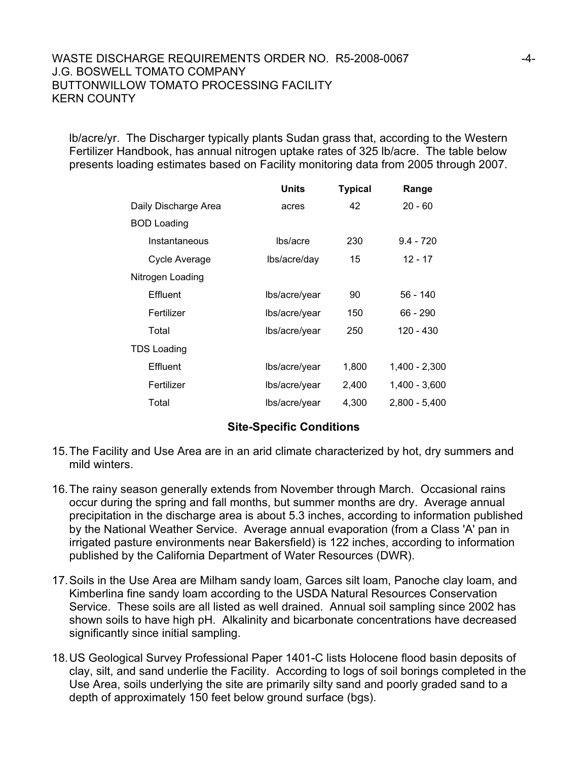#### WASTE DISCHARGE REQUIREMENTS ORDER NO. R5-2008-0067  $-4$ -J.G. BOSWELL TOMATO COMPANY BUTTONWILLOW TOMATO PROCESSING FACILITY KERN COUNTY

lb/acre/yr. The Discharger typically plants Sudan grass that, according to the Western Fertilizer Handbook, has annual nitrogen uptake rates of 325 lb/acre. The table below presents loading estimates based on Facility monitoring data from 2005 through 2007.

|                      | <b>Units</b>  | <b>Typical</b> | Range           |
|----------------------|---------------|----------------|-----------------|
| Daily Discharge Area | acres         | 42             | $20 - 60$       |
| <b>BOD Loading</b>   |               |                |                 |
| Instantaneous        | lbs/acre      | 230            | $9.4 - 720$     |
| Cycle Average        | lbs/acre/day  | 15             | $12 - 17$       |
| Nitrogen Loading     |               |                |                 |
| Effluent             | lbs/acre/year | 90             | 56 - 140        |
| Fertilizer           | lbs/acre/year | 150            | 66 - 290        |
| Total                | lbs/acre/year | 250            | 120 - 430       |
| TDS Loading          |               |                |                 |
| Effluent             | lbs/acre/year | 1,800          | 1,400 - 2,300   |
| Fertilizer           | lbs/acre/year | 2,400          | $1,400 - 3,600$ |
| Total                | lbs/acre/year | 4,300          | $2.800 - 5.400$ |

#### **Site-Specific Conditions**

- 15. The Facility and Use Area are in an arid climate characterized by hot, dry summers and mild winters.
- 16. The rainy season generally extends from November through March. Occasional rains occur during the spring and fall months, but summer months are dry. Average annual precipitation in the discharge area is about 5.3 inches, according to information published by the National Weather Service. Average annual evaporation (from a Class 'A' pan in irrigated pasture environments near Bakersfield) is 122 inches, according to information published by the California Department of Water Resources (DWR).
- 17. Soils in the Use Area are Milham sandy loam, Garces silt loam, Panoche clay loam, and Kimberlina fine sandy loam according to the USDA Natural Resources Conservation Service. These soils are all listed as well drained. Annual soil sampling since 2002 has shown soils to have high pH. Alkalinity and bicarbonate concentrations have decreased significantly since initial sampling.
- 18. US Geological Survey Professional Paper 1401-C lists Holocene flood basin deposits of clay, silt, and sand underlie the Facility. According to logs of soil borings completed in the Use Area, soils underlying the site are primarily silty sand and poorly graded sand to a depth of approximately 150 feet below ground surface (bgs).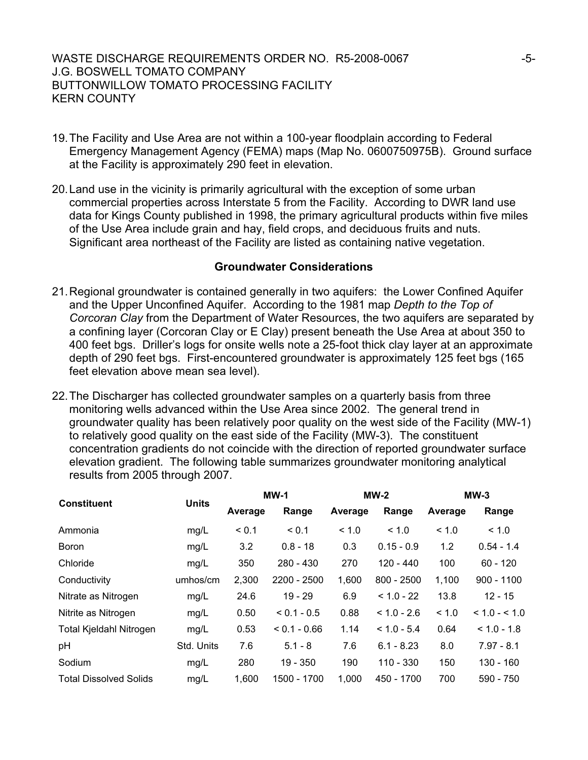- 19. The Facility and Use Area are not within a 100-year floodplain according to Federal Emergency Management Agency (FEMA) maps (Map No. 0600750975B). Ground surface at the Facility is approximately 290 feet in elevation.
- 20. Land use in the vicinity is primarily agricultural with the exception of some urban commercial properties across Interstate 5 from the Facility. According to DWR land use data for Kings County published in 1998, the primary agricultural products within five miles of the Use Area include grain and hay, field crops, and deciduous fruits and nuts. Significant area northeast of the Facility are listed as containing native vegetation.

#### **Groundwater Considerations**

- 21. Regional groundwater is contained generally in two aquifers: the Lower Confined Aquifer and the Upper Unconfined Aquifer. According to the 1981 map *Depth to the Top of Corcoran Clay* from the Department of Water Resources, the two aquifers are separated by a confining layer (Corcoran Clay or E Clay) present beneath the Use Area at about 350 to 400 feet bgs. Driller's logs for onsite wells note a 25-foot thick clay layer at an approximate depth of 290 feet bgs. First-encountered groundwater is approximately 125 feet bgs (165 feet elevation above mean sea level).
- 22. The Discharger has collected groundwater samples on a quarterly basis from three monitoring wells advanced within the Use Area since 2002. The general trend in groundwater quality has been relatively poor quality on the west side of the Facility (MW-1) to relatively good quality on the east side of the Facility (MW-3). The constituent concentration gradients do not coincide with the direction of reported groundwater surface elevation gradient. The following table summarizes groundwater monitoring analytical results from 2005 through 2007.

| <b>Constituent</b>             |              |         | $MW-1$<br>$MW-2$ |         | $MW-3$        |         |                 |
|--------------------------------|--------------|---------|------------------|---------|---------------|---------|-----------------|
|                                | <b>Units</b> | Average | Range            | Average | Range         | Average | Range           |
| Ammonia                        | mg/L         | < 0.1   | < 0.1            | < 1.0   | < 1.0         | < 1.0   | < 1.0           |
| <b>Boron</b>                   | mg/L         | 3.2     | $0.8 - 18$       | 0.3     | $0.15 - 0.9$  | 1.2     | $0.54 - 1.4$    |
| Chloride                       | mg/L         | 350     | $280 - 430$      | 270     | $120 - 440$   | 100     | $60 - 120$      |
| Conductivity                   | umhos/cm     | 2,300   | 2200 - 2500      | 1,600   | $800 - 2500$  | 1,100   | $900 - 1100$    |
| Nitrate as Nitrogen            | mg/L         | 24.6    | $19 - 29$        | 6.9     | $< 1.0 - 22$  | 13.8    | $12 - 15$       |
| Nitrite as Nitrogen            | mg/L         | 0.50    | $< 0.1 - 0.5$    | 0.88    | $< 1.0 - 2.6$ | < 1.0   | $< 1.0 - < 1.0$ |
| <b>Total Kjeldahl Nitrogen</b> | mg/L         | 0.53    | $< 0.1 - 0.66$   | 1.14    | $< 1.0 - 5.4$ | 0.64    | $< 1.0 - 1.8$   |
| pH                             | Std. Units   | 7.6     | $5.1 - 8$        | 7.6     | $6.1 - 8.23$  | 8.0     | $7.97 - 8.1$    |
| Sodium                         | mg/L         | 280     | $19 - 350$       | 190     | $110 - 330$   | 150     | $130 - 160$     |
| <b>Total Dissolved Solids</b>  | mg/L         | 1,600   | 1500 - 1700      | 1,000   | 450 - 1700    | 700     | 590 - 750       |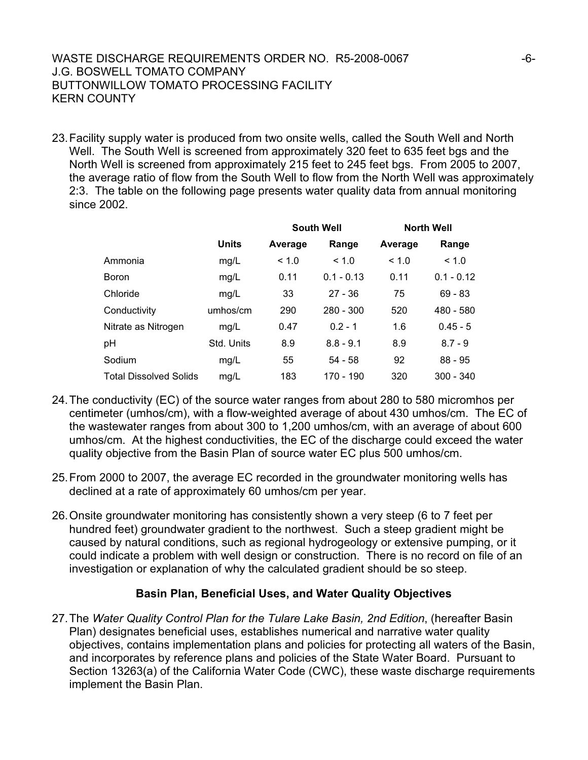## WASTE DISCHARGE REQUIREMENTS ORDER NO. R5-2008-0067 - The SCHARGE REQUIREMENTS ORDER NO. R5-2008-0067 J.G. BOSWELL TOMATO COMPANY BUTTONWILLOW TOMATO PROCESSING FACILITY KERN COUNTY

23. Facility supply water is produced from two onsite wells, called the South Well and North Well. The South Well is screened from approximately 320 feet to 635 feet bgs and the North Well is screened from approximately 215 feet to 245 feet bgs. From 2005 to 2007, the average ratio of flow from the South Well to flow from the North Well was approximately 2:3. The table on the following page presents water quality data from annual monitoring since 2002.

|                               |              | <b>South Well</b> |              |         | <b>North Well</b> |
|-------------------------------|--------------|-------------------|--------------|---------|-------------------|
|                               | <b>Units</b> | Average           | Range        | Average | Range             |
| Ammonia                       | mg/L         | < 1.0             | < 1.0        | < 1.0   | < 1.0             |
| <b>Boron</b>                  | mg/L         | 0.11              | $0.1 - 0.13$ | 0.11    | $0.1 - 0.12$      |
| Chloride                      | mg/L         | 33                | $27 - 36$    | 75      | $69 - 83$         |
| Conductivity                  | umhos/cm     | 290               | $280 - 300$  | 520     | 480 - 580         |
| Nitrate as Nitrogen           | mg/L         | 0.47              | $0.2 - 1$    | 1.6     | $0.45 - 5$        |
| pH                            | Std. Units   | 8.9               | $8.8 - 9.1$  | 8.9     | $8.7 - 9$         |
| Sodium                        | mg/L         | 55                | 54 - 58      | 92      | $88 - 95$         |
| <b>Total Dissolved Solids</b> | mg/L         | 183               | 170 - 190    | 320     | $300 - 340$       |

- 24. The conductivity (EC) of the source water ranges from about 280 to 580 micromhos per centimeter (umhos/cm), with a flow-weighted average of about 430 umhos/cm. The EC of the wastewater ranges from about 300 to 1,200 umhos/cm, with an average of about 600 umhos/cm. At the highest conductivities, the EC of the discharge could exceed the water quality objective from the Basin Plan of source water EC plus 500 umhos/cm.
- 25. From 2000 to 2007, the average EC recorded in the groundwater monitoring wells has declined at a rate of approximately 60 umhos/cm per year.
- 26. Onsite groundwater monitoring has consistently shown a very steep (6 to 7 feet per hundred feet) groundwater gradient to the northwest. Such a steep gradient might be caused by natural conditions, such as regional hydrogeology or extensive pumping, or it could indicate a problem with well design or construction. There is no record on file of an investigation or explanation of why the calculated gradient should be so steep.

## **Basin Plan, Beneficial Uses, and Water Quality Objectives**

27. The *Water Quality Control Plan for the Tulare Lake Basin, 2nd Edition*, (hereafter Basin Plan) designates beneficial uses, establishes numerical and narrative water quality objectives, contains implementation plans and policies for protecting all waters of the Basin, and incorporates by reference plans and policies of the State Water Board. Pursuant to Section 13263(a) of the California Water Code (CWC), these waste discharge requirements implement the Basin Plan.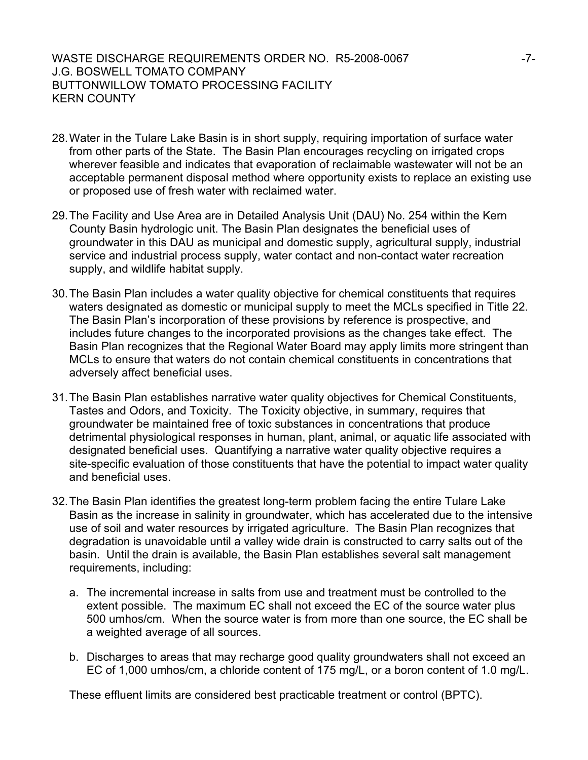#### WASTE DISCHARGE REQUIREMENTS ORDER NO. R5-2008-0067  $-7$ -J.G. BOSWELL TOMATO COMPANY BUTTONWILLOW TOMATO PROCESSING FACILITY KERN COUNTY

- 28. Water in the Tulare Lake Basin is in short supply, requiring importation of surface water from other parts of the State. The Basin Plan encourages recycling on irrigated crops wherever feasible and indicates that evaporation of reclaimable wastewater will not be an acceptable permanent disposal method where opportunity exists to replace an existing use or proposed use of fresh water with reclaimed water.
- 29. The Facility and Use Area are in Detailed Analysis Unit (DAU) No. 254 within the Kern County Basin hydrologic unit. The Basin Plan designates the beneficial uses of groundwater in this DAU as municipal and domestic supply, agricultural supply, industrial service and industrial process supply, water contact and non-contact water recreation supply, and wildlife habitat supply.
- 30. The Basin Plan includes a water quality objective for chemical constituents that requires waters designated as domestic or municipal supply to meet the MCLs specified in Title 22. The Basin Plan's incorporation of these provisions by reference is prospective, and includes future changes to the incorporated provisions as the changes take effect. The Basin Plan recognizes that the Regional Water Board may apply limits more stringent than MCLs to ensure that waters do not contain chemical constituents in concentrations that adversely affect beneficial uses.
- 31. The Basin Plan establishes narrative water quality objectives for Chemical Constituents, Tastes and Odors, and Toxicity. The Toxicity objective, in summary, requires that groundwater be maintained free of toxic substances in concentrations that produce detrimental physiological responses in human, plant, animal, or aquatic life associated with designated beneficial uses. Quantifying a narrative water quality objective requires a site-specific evaluation of those constituents that have the potential to impact water quality and beneficial uses.
- 32. The Basin Plan identifies the greatest long-term problem facing the entire Tulare Lake Basin as the increase in salinity in groundwater, which has accelerated due to the intensive use of soil and water resources by irrigated agriculture. The Basin Plan recognizes that degradation is unavoidable until a valley wide drain is constructed to carry salts out of the basin. Until the drain is available, the Basin Plan establishes several salt management requirements, including:
	- a. The incremental increase in salts from use and treatment must be controlled to the extent possible. The maximum EC shall not exceed the EC of the source water plus 500 umhos/cm. When the source water is from more than one source, the EC shall be a weighted average of all sources.
	- b. Discharges to areas that may recharge good quality groundwaters shall not exceed an EC of 1,000 umhos/cm, a chloride content of 175 mg/L, or a boron content of 1.0 mg/L.

These effluent limits are considered best practicable treatment or control (BPTC).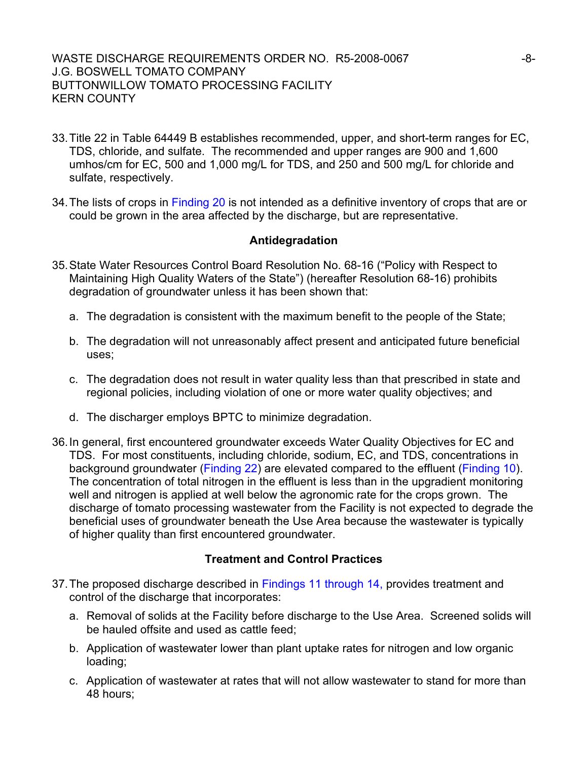#### WASTE DISCHARGE REQUIREMENTS ORDER NO. R5-2008-0067 -8-J.G. BOSWELL TOMATO COMPANY BUTTONWILLOW TOMATO PROCESSING FACILITY KERN COUNTY

- 33. Title 22 in Table 64449 B establishes recommended, upper, and short-term ranges for EC, TDS, chloride, and sulfate. The recommended and upper ranges are 900 and 1,600 umhos/cm for EC, 500 and 1,000 mg/L for TDS, and 250 and 500 mg/L for chloride and sulfate, respectively.
- 34. The lists of crops in Finding 20 is not intended as a definitive inventory of crops that are or could be grown in the area affected by the discharge, but are representative.

## **Antidegradation**

- 35. State Water Resources Control Board Resolution No. 68-16 ("Policy with Respect to Maintaining High Quality Waters of the State") (hereafter Resolution 68-16) prohibits degradation of groundwater unless it has been shown that:
	- a. The degradation is consistent with the maximum benefit to the people of the State;
	- b. The degradation will not unreasonably affect present and anticipated future beneficial uses;
	- c. The degradation does not result in water quality less than that prescribed in state and regional policies, including violation of one or more water quality objectives; and
	- d. The discharger employs BPTC to minimize degradation.
- 36. In general, first encountered groundwater exceeds Water Quality Objectives for EC and TDS. For most constituents, including chloride, sodium, EC, and TDS, concentrations in background groundwater (Finding 22) are elevated compared to the effluent (Finding 10). The concentration of total nitrogen in the effluent is less than in the upgradient monitoring well and nitrogen is applied at well below the agronomic rate for the crops grown. The discharge of tomato processing wastewater from the Facility is not expected to degrade the beneficial uses of groundwater beneath the Use Area because the wastewater is typically of higher quality than first encountered groundwater.

## **Treatment and Control Practices**

- 37. The proposed discharge described in Findings 11 through 14, provides treatment and control of the discharge that incorporates:
	- a. Removal of solids at the Facility before discharge to the Use Area. Screened solids will be hauled offsite and used as cattle feed;
	- b. Application of wastewater lower than plant uptake rates for nitrogen and low organic loading;
	- c. Application of wastewater at rates that will not allow wastewater to stand for more than 48 hours;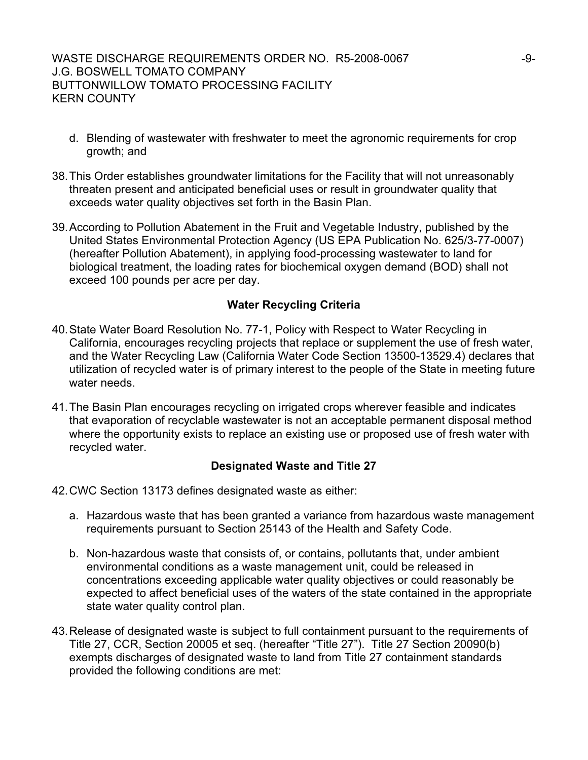- d. Blending of wastewater with freshwater to meet the agronomic requirements for crop growth; and
- 38. This Order establishes groundwater limitations for the Facility that will not unreasonably threaten present and anticipated beneficial uses or result in groundwater quality that exceeds water quality objectives set forth in the Basin Plan.
- 39. According to Pollution Abatement in the Fruit and Vegetable Industry, published by the United States Environmental Protection Agency (US EPA Publication No. 625/3-77-0007) (hereafter Pollution Abatement), in applying food-processing wastewater to land for biological treatment, the loading rates for biochemical oxygen demand (BOD) shall not exceed 100 pounds per acre per day.

## **Water Recycling Criteria**

- 40. State Water Board Resolution No. 77-1, Policy with Respect to Water Recycling in California, encourages recycling projects that replace or supplement the use of fresh water, and the Water Recycling Law (California Water Code Section 13500-13529.4) declares that utilization of recycled water is of primary interest to the people of the State in meeting future water needs.
- 41. The Basin Plan encourages recycling on irrigated crops wherever feasible and indicates that evaporation of recyclable wastewater is not an acceptable permanent disposal method where the opportunity exists to replace an existing use or proposed use of fresh water with recycled water.

## **Designated Waste and Title 27**

- 42. CWC Section 13173 defines designated waste as either:
	- a. Hazardous waste that has been granted a variance from hazardous waste management requirements pursuant to Section 25143 of the Health and Safety Code.
	- b. Non-hazardous waste that consists of, or contains, pollutants that, under ambient environmental conditions as a waste management unit, could be released in concentrations exceeding applicable water quality objectives or could reasonably be expected to affect beneficial uses of the waters of the state contained in the appropriate state water quality control plan.
- 43. Release of designated waste is subject to full containment pursuant to the requirements of Title 27, CCR, Section 20005 et seq. (hereafter "Title 27"). Title 27 Section 20090(b) exempts discharges of designated waste to land from Title 27 containment standards provided the following conditions are met: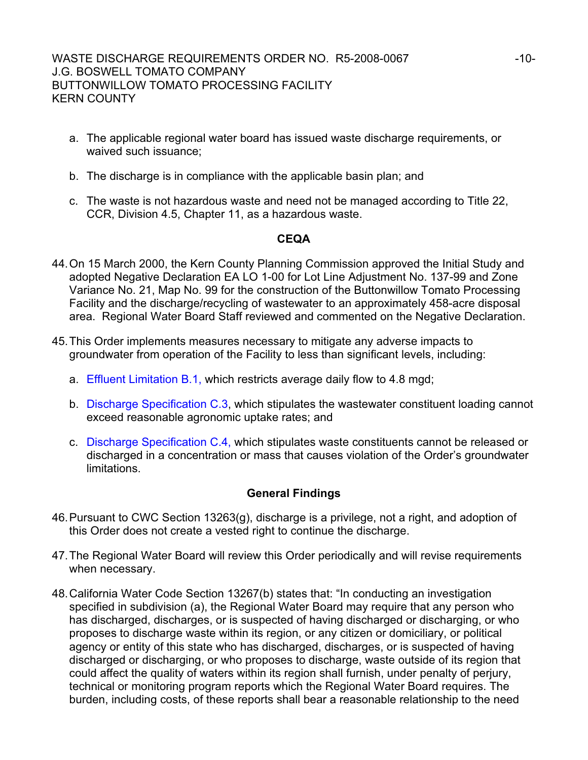- a. The applicable regional water board has issued waste discharge requirements, or waived such issuance;
- b. The discharge is in compliance with the applicable basin plan; and
- c. The waste is not hazardous waste and need not be managed according to Title 22, CCR, Division 4.5, Chapter 11, as a hazardous waste.

#### **CEQA**

- 44. On 15 March 2000, the Kern County Planning Commission approved the Initial Study and adopted Negative Declaration EA LO 1-00 for Lot Line Adjustment No. 137-99 and Zone Variance No. 21, Map No. 99 for the construction of the Buttonwillow Tomato Processing Facility and the discharge/recycling of wastewater to an approximately 458-acre disposal area. Regional Water Board Staff reviewed and commented on the Negative Declaration.
- 45. This Order implements measures necessary to mitigate any adverse impacts to groundwater from operation of the Facility to less than significant levels, including:
	- a. Effluent Limitation B.1, which restricts average daily flow to 4.8 mgd;
	- b. Discharge Specification C.3, which stipulates the wastewater constituent loading cannot exceed reasonable agronomic uptake rates; and
	- c. Discharge Specification C.4, which stipulates waste constituents cannot be released or discharged in a concentration or mass that causes violation of the Order's groundwater limitations.

## **General Findings**

- 46. Pursuant to CWC Section 13263(g), discharge is a privilege, not a right, and adoption of this Order does not create a vested right to continue the discharge.
- 47. The Regional Water Board will review this Order periodically and will revise requirements when necessary.
- 48. California Water Code Section 13267(b) states that: "In conducting an investigation specified in subdivision (a), the Regional Water Board may require that any person who has discharged, discharges, or is suspected of having discharged or discharging, or who proposes to discharge waste within its region, or any citizen or domiciliary, or political agency or entity of this state who has discharged, discharges, or is suspected of having discharged or discharging, or who proposes to discharge, waste outside of its region that could affect the quality of waters within its region shall furnish, under penalty of perjury, technical or monitoring program reports which the Regional Water Board requires. The burden, including costs, of these reports shall bear a reasonable relationship to the need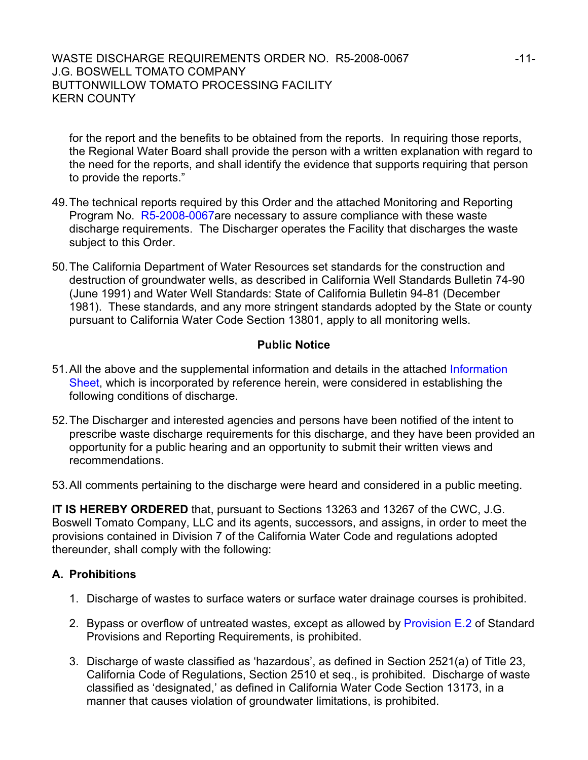#### WASTE DISCHARGE REQUIREMENTS ORDER NO. R5-2008-0067 -11-J.G. BOSWELL TOMATO COMPANY BUTTONWILLOW TOMATO PROCESSING FACILITY KERN COUNTY

for the report and the benefits to be obtained from the reports. In requiring those reports, the Regional Water Board shall provide the person with a written explanation with regard to the need for the reports, and shall identify the evidence that supports requiring that person to provide the reports."

- 49. The technical reports required by this Order and the attached Monitoring and Reporting Program No. R5-2008-0067are necessary to assure compliance with these waste discharge requirements. The Discharger operates the Facility that discharges the waste subject to this Order.
- 50. The California Department of Water Resources set standards for the construction and destruction of groundwater wells, as described in California Well Standards Bulletin 74-90 (June 1991) and Water Well Standards: State of California Bulletin 94-81 (December 1981). These standards, and any more stringent standards adopted by the State or county pursuant to California Water Code Section 13801, apply to all monitoring wells.

## **Public Notice**

- 51. All the above and the supplemental information and details in the attached Information Sheet, which is incorporated by reference herein, were considered in establishing the following conditions of discharge.
- 52. The Discharger and interested agencies and persons have been notified of the intent to prescribe waste discharge requirements for this discharge, and they have been provided an opportunity for a public hearing and an opportunity to submit their written views and recommendations.
- 53. All comments pertaining to the discharge were heard and considered in a public meeting.

**IT IS HEREBY ORDERED** that, pursuant to Sections 13263 and 13267 of the CWC, J.G. Boswell Tomato Company, LLC and its agents, successors, and assigns, in order to meet the provisions contained in Division 7 of the California Water Code and regulations adopted thereunder, shall comply with the following:

## **A. Prohibitions**

- 1. Discharge of wastes to surface waters or surface water drainage courses is prohibited.
- 2. Bypass or overflow of untreated wastes, except as allowed by Provision E.2 of Standard Provisions and Reporting Requirements, is prohibited.
- 3. Discharge of waste classified as 'hazardous', as defined in Section 2521(a) of Title 23, California Code of Regulations, Section 2510 et seq., is prohibited. Discharge of waste classified as 'designated,' as defined in California Water Code Section 13173, in a manner that causes violation of groundwater limitations, is prohibited.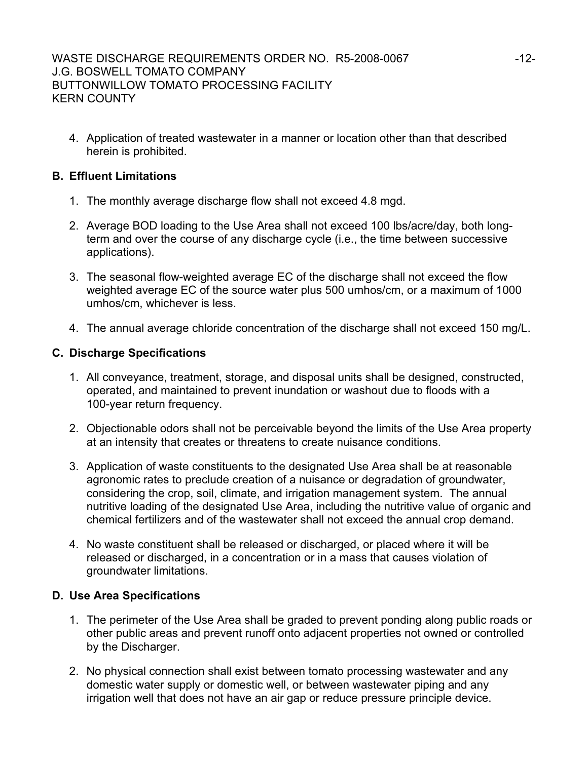4. Application of treated wastewater in a manner or location other than that described herein is prohibited.

# **B. Effluent Limitations**

- 1. The monthly average discharge flow shall not exceed 4.8 mgd.
- 2. Average BOD loading to the Use Area shall not exceed 100 lbs/acre/day, both longterm and over the course of any discharge cycle (i.e., the time between successive applications).
- 3. The seasonal flow-weighted average EC of the discharge shall not exceed the flow weighted average EC of the source water plus 500 umhos/cm, or a maximum of 1000 umhos/cm, whichever is less.
- 4. The annual average chloride concentration of the discharge shall not exceed 150 mg/L.

# **C. Discharge Specifications**

- 1. All conveyance, treatment, storage, and disposal units shall be designed, constructed, operated, and maintained to prevent inundation or washout due to floods with a 100-year return frequency.
- 2. Objectionable odors shall not be perceivable beyond the limits of the Use Area property at an intensity that creates or threatens to create nuisance conditions.
- 3. Application of waste constituents to the designated Use Area shall be at reasonable agronomic rates to preclude creation of a nuisance or degradation of groundwater, considering the crop, soil, climate, and irrigation management system. The annual nutritive loading of the designated Use Area, including the nutritive value of organic and chemical fertilizers and of the wastewater shall not exceed the annual crop demand.
- 4. No waste constituent shall be released or discharged, or placed where it will be released or discharged, in a concentration or in a mass that causes violation of groundwater limitations.

## **D. Use Area Specifications**

- 1. The perimeter of the Use Area shall be graded to prevent ponding along public roads or other public areas and prevent runoff onto adjacent properties not owned or controlled by the Discharger.
- 2. No physical connection shall exist between tomato processing wastewater and any domestic water supply or domestic well, or between wastewater piping and any irrigation well that does not have an air gap or reduce pressure principle device.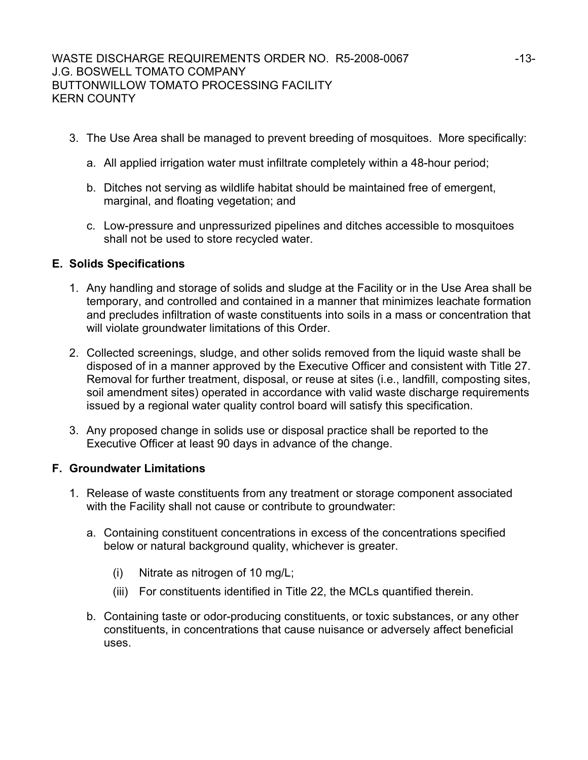- 3. The Use Area shall be managed to prevent breeding of mosquitoes. More specifically:
	- a. All applied irrigation water must infiltrate completely within a 48-hour period;
	- b. Ditches not serving as wildlife habitat should be maintained free of emergent, marginal, and floating vegetation; and
	- c. Low-pressure and unpressurized pipelines and ditches accessible to mosquitoes shall not be used to store recycled water.

## **E. Solids Specifications**

- 1. Any handling and storage of solids and sludge at the Facility or in the Use Area shall be temporary, and controlled and contained in a manner that minimizes leachate formation and precludes infiltration of waste constituents into soils in a mass or concentration that will violate groundwater limitations of this Order.
- 2. Collected screenings, sludge, and other solids removed from the liquid waste shall be disposed of in a manner approved by the Executive Officer and consistent with Title 27. Removal for further treatment, disposal, or reuse at sites (i.e., landfill, composting sites, soil amendment sites) operated in accordance with valid waste discharge requirements issued by a regional water quality control board will satisfy this specification.
- 3. Any proposed change in solids use or disposal practice shall be reported to the Executive Officer at least 90 days in advance of the change.

## **F. Groundwater Limitations**

- 1. Release of waste constituents from any treatment or storage component associated with the Facility shall not cause or contribute to groundwater:
	- a. Containing constituent concentrations in excess of the concentrations specified below or natural background quality, whichever is greater.
		- (i) Nitrate as nitrogen of 10 mg/L;
		- (iii) For constituents identified in Title 22, the MCLs quantified therein.
	- b. Containing taste or odor-producing constituents, or toxic substances, or any other constituents, in concentrations that cause nuisance or adversely affect beneficial uses.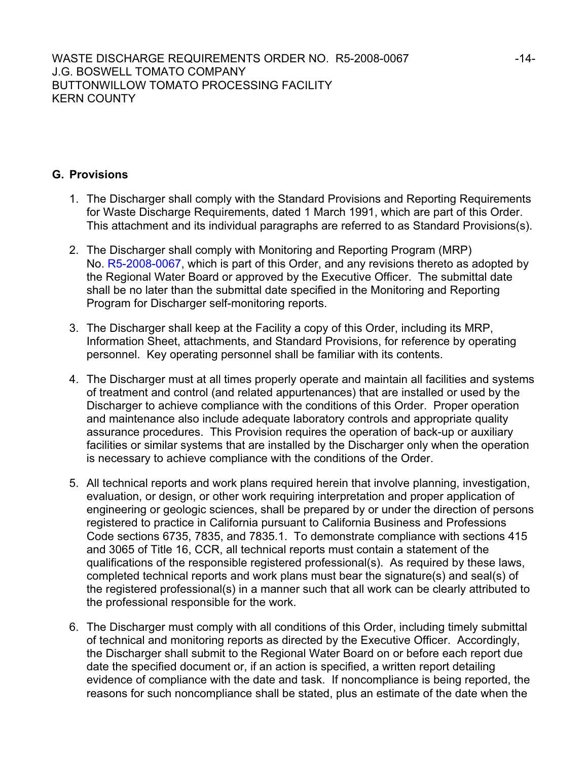# **G. Provisions**

- 1. The Discharger shall comply with the Standard Provisions and Reporting Requirements for Waste Discharge Requirements, dated 1 March 1991, which are part of this Order. This attachment and its individual paragraphs are referred to as Standard Provisions(s).
- 2. The Discharger shall comply with Monitoring and Reporting Program (MRP) No. R5-2008-0067, which is part of this Order, and any revisions thereto as adopted by the Regional Water Board or approved by the Executive Officer. The submittal date shall be no later than the submittal date specified in the Monitoring and Reporting Program for Discharger self-monitoring reports.
- 3. The Discharger shall keep at the Facility a copy of this Order, including its MRP, Information Sheet, attachments, and Standard Provisions, for reference by operating personnel. Key operating personnel shall be familiar with its contents.
- 4. The Discharger must at all times properly operate and maintain all facilities and systems of treatment and control (and related appurtenances) that are installed or used by the Discharger to achieve compliance with the conditions of this Order. Proper operation and maintenance also include adequate laboratory controls and appropriate quality assurance procedures. This Provision requires the operation of back-up or auxiliary facilities or similar systems that are installed by the Discharger only when the operation is necessary to achieve compliance with the conditions of the Order.
- 5. All technical reports and work plans required herein that involve planning, investigation, evaluation, or design, or other work requiring interpretation and proper application of engineering or geologic sciences, shall be prepared by or under the direction of persons registered to practice in California pursuant to California Business and Professions Code sections 6735, 7835, and 7835.1. To demonstrate compliance with sections 415 and 3065 of Title 16, CCR, all technical reports must contain a statement of the qualifications of the responsible registered professional(s). As required by these laws, completed technical reports and work plans must bear the signature(s) and seal(s) of the registered professional(s) in a manner such that all work can be clearly attributed to the professional responsible for the work.
- 6. The Discharger must comply with all conditions of this Order, including timely submittal of technical and monitoring reports as directed by the Executive Officer. Accordingly, the Discharger shall submit to the Regional Water Board on or before each report due date the specified document or, if an action is specified, a written report detailing evidence of compliance with the date and task. If noncompliance is being reported, the reasons for such noncompliance shall be stated, plus an estimate of the date when the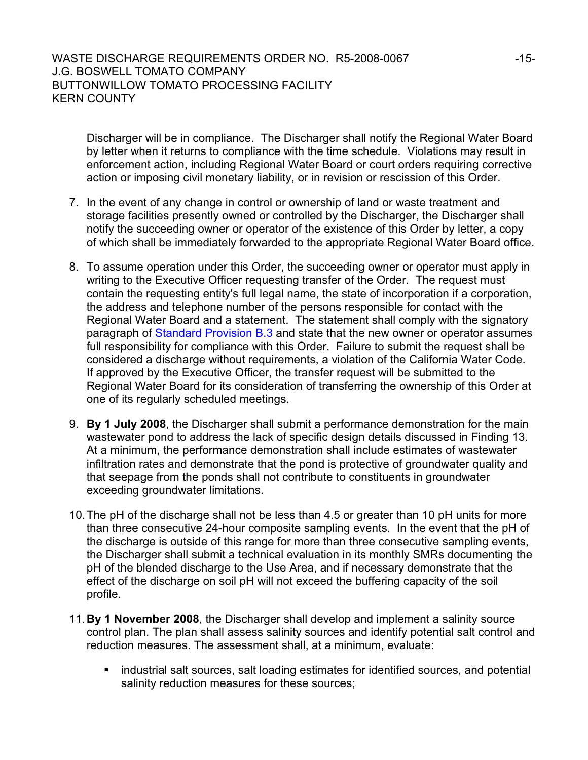Discharger will be in compliance. The Discharger shall notify the Regional Water Board by letter when it returns to compliance with the time schedule. Violations may result in enforcement action, including Regional Water Board or court orders requiring corrective action or imposing civil monetary liability, or in revision or rescission of this Order.

- 7. In the event of any change in control or ownership of land or waste treatment and storage facilities presently owned or controlled by the Discharger, the Discharger shall notify the succeeding owner or operator of the existence of this Order by letter, a copy of which shall be immediately forwarded to the appropriate Regional Water Board office.
- 8. To assume operation under this Order, the succeeding owner or operator must apply in writing to the Executive Officer requesting transfer of the Order. The request must contain the requesting entity's full legal name, the state of incorporation if a corporation, the address and telephone number of the persons responsible for contact with the Regional Water Board and a statement. The statement shall comply with the signatory paragraph of Standard Provision B.3 and state that the new owner or operator assumes full responsibility for compliance with this Order. Failure to submit the request shall be considered a discharge without requirements, a violation of the California Water Code. If approved by the Executive Officer, the transfer request will be submitted to the Regional Water Board for its consideration of transferring the ownership of this Order at one of its regularly scheduled meetings.
- 9. **By 1 July 2008**, the Discharger shall submit a performance demonstration for the main wastewater pond to address the lack of specific design details discussed in Finding 13. At a minimum, the performance demonstration shall include estimates of wastewater infiltration rates and demonstrate that the pond is protective of groundwater quality and that seepage from the ponds shall not contribute to constituents in groundwater exceeding groundwater limitations.
- 10. The pH of the discharge shall not be less than 4.5 or greater than 10 pH units for more than three consecutive 24-hour composite sampling events. In the event that the pH of the discharge is outside of this range for more than three consecutive sampling events, the Discharger shall submit a technical evaluation in its monthly SMRs documenting the pH of the blended discharge to the Use Area, and if necessary demonstrate that the effect of the discharge on soil pH will not exceed the buffering capacity of the soil profile.
- 11.**By 1 November 2008**, the Discharger shall develop and implement a salinity source control plan. The plan shall assess salinity sources and identify potential salt control and reduction measures. The assessment shall, at a minimum, evaluate:
	- **EXT** industrial salt sources, salt loading estimates for identified sources, and potential salinity reduction measures for these sources;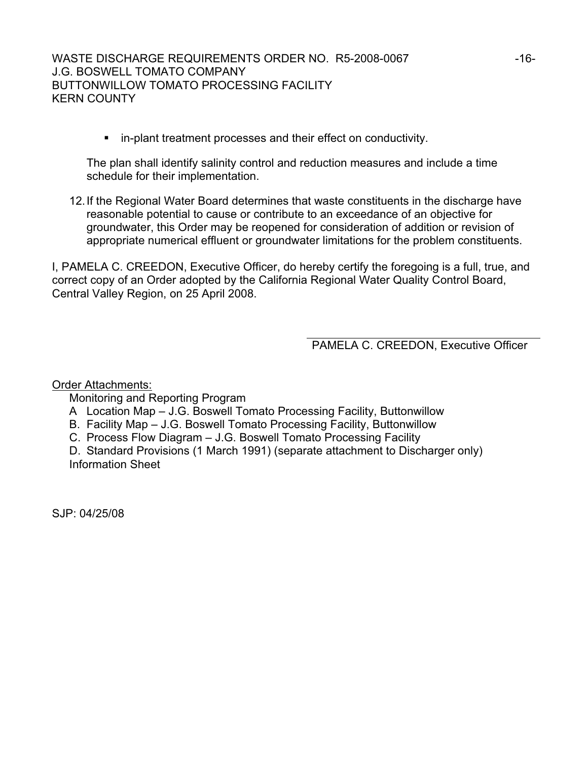in-plant treatment processes and their effect on conductivity.

The plan shall identify salinity control and reduction measures and include a time schedule for their implementation.

12. If the Regional Water Board determines that waste constituents in the discharge have reasonable potential to cause or contribute to an exceedance of an objective for groundwater, this Order may be reopened for consideration of addition or revision of appropriate numerical effluent or groundwater limitations for the problem constituents.

I, PAMELA C. CREEDON, Executive Officer, do hereby certify the foregoing is a full, true, and correct copy of an Order adopted by the California Regional Water Quality Control Board, Central Valley Region, on 25 April 2008.

PAMELA C. CREEDON, Executive Officer

Order Attachments:

Monitoring and Reporting Program

- A Location Map J.G. Boswell Tomato Processing Facility, Buttonwillow
- B. Facility Map J.G. Boswell Tomato Processing Facility, Buttonwillow
- C. Process Flow Diagram J.G. Boswell Tomato Processing Facility

D. Standard Provisions (1 March 1991) (separate attachment to Discharger only) Information Sheet

SJP: 04/25/08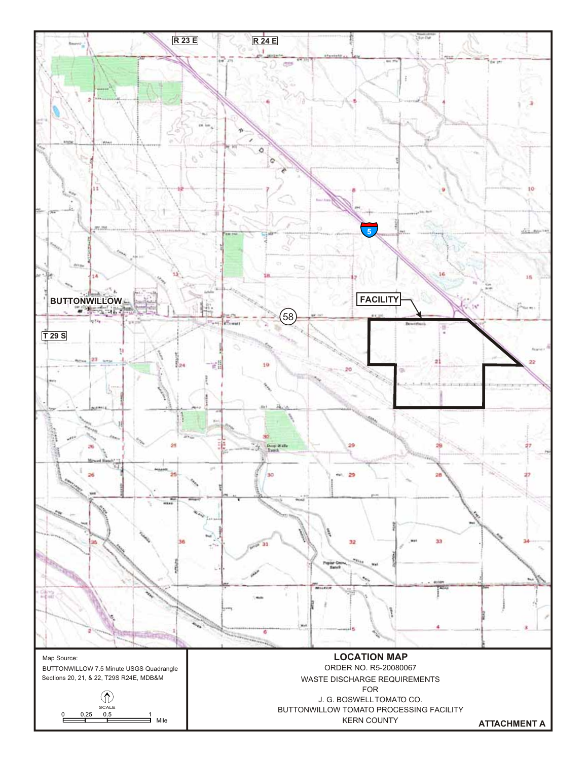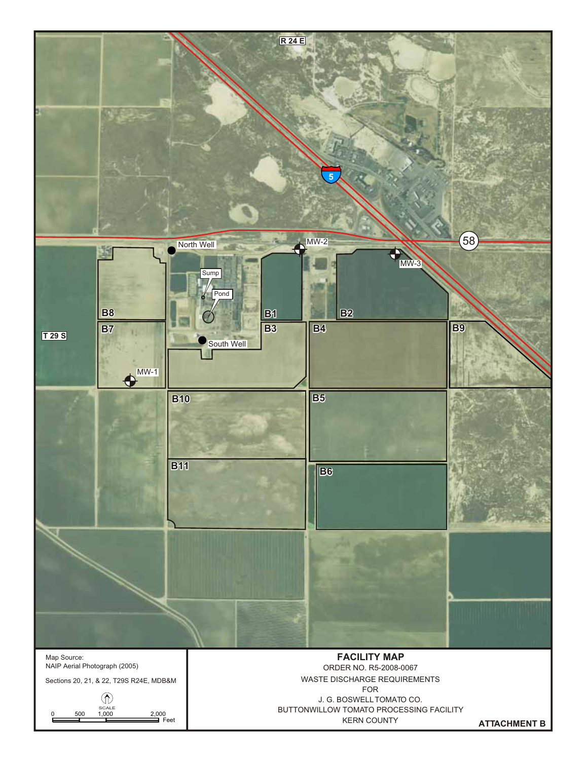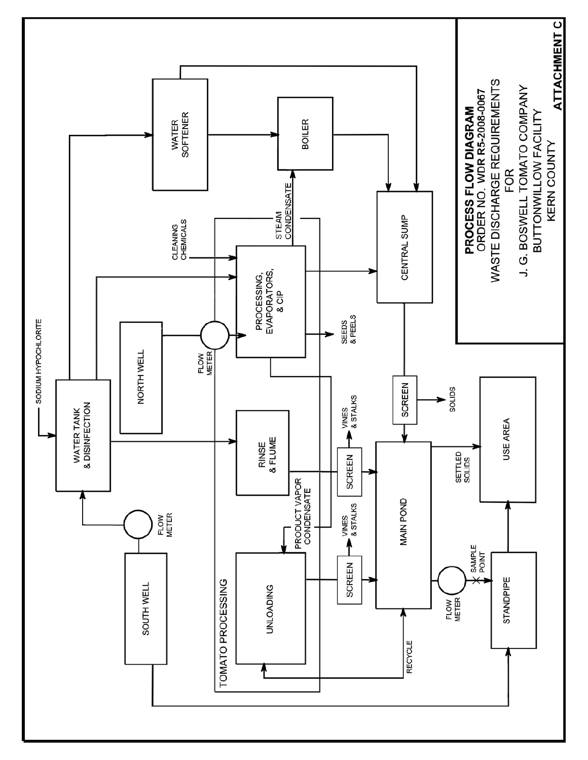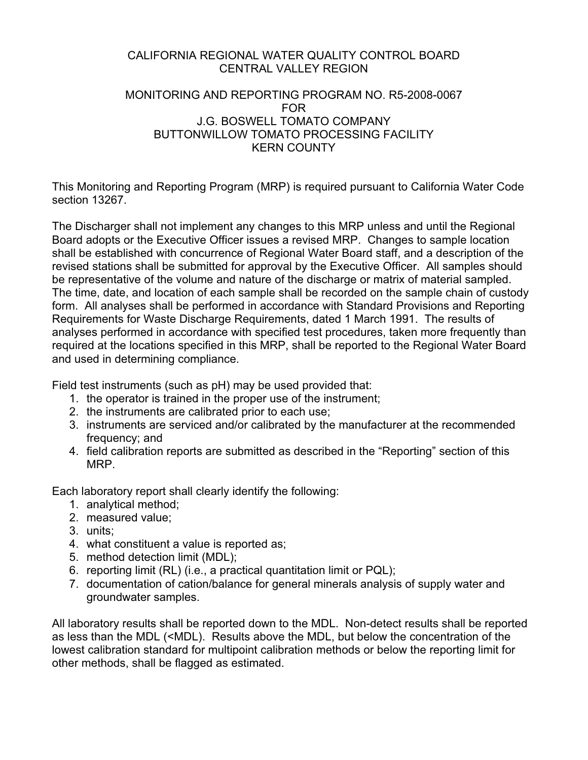# CALIFORNIA REGIONAL WATER QUALITY CONTROL BOARD CENTRAL VALLEY REGION

## MONITORING AND REPORTING PROGRAM NO. R5-2008-0067 FOR J.G. BOSWELL TOMATO COMPANY BUTTONWILLOW TOMATO PROCESSING FACILITY KERN COUNTY

This Monitoring and Reporting Program (MRP) is required pursuant to California Water Code section 13267.

The Discharger shall not implement any changes to this MRP unless and until the Regional Board adopts or the Executive Officer issues a revised MRP. Changes to sample location shall be established with concurrence of Regional Water Board staff, and a description of the revised stations shall be submitted for approval by the Executive Officer. All samples should be representative of the volume and nature of the discharge or matrix of material sampled. The time, date, and location of each sample shall be recorded on the sample chain of custody form. All analyses shall be performed in accordance with Standard Provisions and Reporting Requirements for Waste Discharge Requirements, dated 1 March 1991. The results of analyses performed in accordance with specified test procedures, taken more frequently than required at the locations specified in this MRP, shall be reported to the Regional Water Board and used in determining compliance.

Field test instruments (such as pH) may be used provided that:

- 1. the operator is trained in the proper use of the instrument;
- 2. the instruments are calibrated prior to each use;
- 3. instruments are serviced and/or calibrated by the manufacturer at the recommended frequency; and
- 4. field calibration reports are submitted as described in the "Reporting" section of this MRP.

Each laboratory report shall clearly identify the following:

- 1. analytical method;
- 2. measured value;
- 3. units;
- 4. what constituent a value is reported as;
- 5. method detection limit (MDL);
- 6. reporting limit (RL) (i.e., a practical quantitation limit or PQL);
- 7. documentation of cation/balance for general minerals analysis of supply water and groundwater samples.

All laboratory results shall be reported down to the MDL. Non-detect results shall be reported as less than the MDL (<MDL). Results above the MDL, but below the concentration of the lowest calibration standard for multipoint calibration methods or below the reporting limit for other methods, shall be flagged as estimated.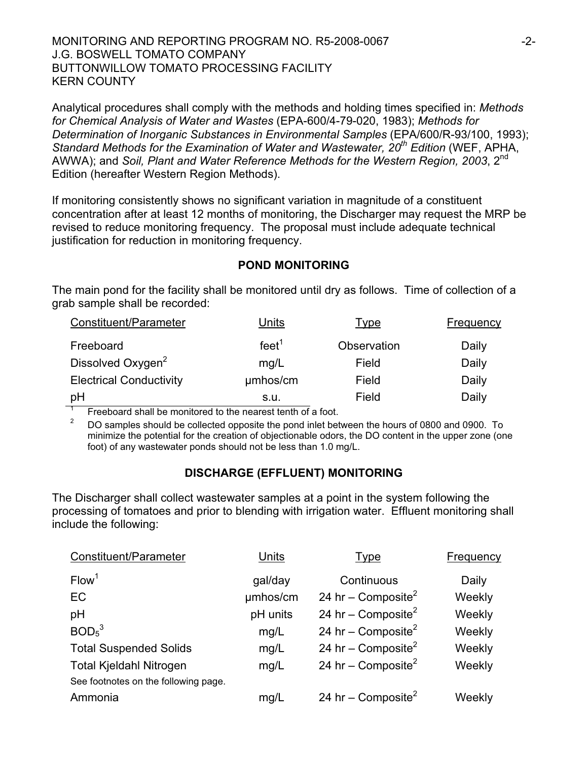#### MONITORING AND REPORTING PROGRAM NO. R5-2008-0067  $-2$ -J.G. BOSWELL TOMATO COMPANY BUTTONWILLOW TOMATO PROCESSING FACILITY KERN COUNTY

Analytical procedures shall comply with the methods and holding times specified in: *Methods for Chemical Analysis of Water and Wastes* (EPA-600/4-79-020, 1983); *Methods for Determination of Inorganic Substances in Environmental Samples* (EPA/600/R-93/100, 1993); *Standard Methods for the Examination of Water and Wastewater, 20th Edition* (WEF, APHA, AWWA); and *Soil, Plant and Water Reference Methods for the Western Region, 2003*, 2<sup>nd</sup> Edition (hereafter Western Region Methods).

If monitoring consistently shows no significant variation in magnitude of a constituent concentration after at least 12 months of monitoring, the Discharger may request the MRP be revised to reduce monitoring frequency. The proposal must include adequate technical justification for reduction in monitoring frequency.

## **POND MONITORING**

The main pond for the facility shall be monitored until dry as follows. Time of collection of a grab sample shall be recorded:

| Constituent/Parameter          | Units             | <u>Type</u> | <b>Frequency</b> |
|--------------------------------|-------------------|-------------|------------------|
| Freeboard                      | feet <sup>1</sup> | Observation | Daily            |
| Dissolved Oxygen <sup>2</sup>  | mg/L              | Field       | Daily            |
| <b>Electrical Conductivity</b> | umhos/cm          | Field       | Daily            |
| pH                             | s.u.              | Field       | Daily            |

1 Freeboard shall be monitored to the nearest tenth of a foot.

2 DO samples should be collected opposite the pond inlet between the hours of 0800 and 0900. To minimize the potential for the creation of objectionable odors, the DO content in the upper zone (one foot) of any wastewater ponds should not be less than 1.0 mg/L.

## **DISCHARGE (EFFLUENT) MONITORING**

The Discharger shall collect wastewater samples at a point in the system following the processing of tomatoes and prior to blending with irrigation water. Effluent monitoring shall include the following:

| Constituent/Parameter                | Units    | <u>Type</u>                    | <b>Frequency</b> |
|--------------------------------------|----------|--------------------------------|------------------|
| Flow <sup>1</sup>                    | gal/day  | Continuous                     | Daily            |
| <b>EC</b>                            | umhos/cm | 24 hr – Composite <sup>2</sup> | Weekly           |
| pH                                   | pH units | 24 hr – Composite <sup>2</sup> | Weekly           |
| BOD <sub>5</sub> <sup>3</sup>        | mg/L     | 24 hr – Composite <sup>2</sup> | Weekly           |
| <b>Total Suspended Solids</b>        | mg/L     | 24 hr – Composite <sup>2</sup> | Weekly           |
| <b>Total Kjeldahl Nitrogen</b>       | mg/L     | 24 hr – Composite <sup>2</sup> | Weekly           |
| See footnotes on the following page. |          |                                |                  |
| Ammonia                              | mg/L     | 24 hr – Composite <sup>2</sup> | Weekly           |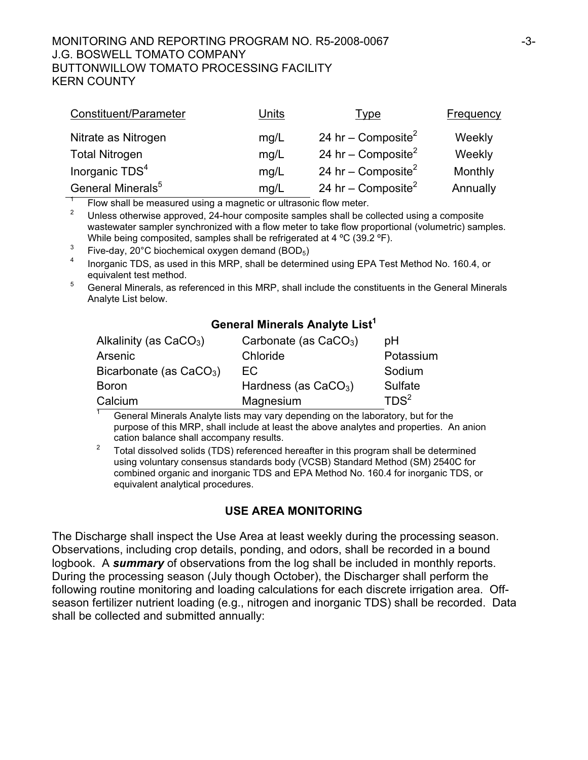#### MONITORING AND REPORTING PROGRAM NO. R5-2008-0067 -3- J.G. BOSWELL TOMATO COMPANY BUTTONWILLOW TOMATO PROCESSING FACILITY KERN COUNTY

| Constituent/Parameter         | Units | <u>Type</u>                    | Frequency |
|-------------------------------|-------|--------------------------------|-----------|
| Nitrate as Nitrogen           | mg/L  | 24 hr – Composite <sup>2</sup> | Weekly    |
| <b>Total Nitrogen</b>         | mg/L  | 24 hr – Composite <sup>2</sup> | Weekly    |
| Inorganic TDS <sup>4</sup>    | mg/L  | 24 hr – Composite <sup>2</sup> | Monthly   |
| General Minerals <sup>5</sup> | mg/L  | 24 hr – Composite <sup>2</sup> | Annually  |

1 Flow shall be measured using a magnetic or ultrasonic flow meter.

2 Unless otherwise approved, 24-hour composite samples shall be collected using a composite wastewater sampler synchronized with a flow meter to take flow proportional (volumetric) samples. While being composited, samples shall be refrigerated at 4 °C (39.2 °F).

- 3 Five-day, 20°C biochemical oxygen demand (BOD5)
- 4 Inorganic TDS, as used in this MRP, shall be determined using EPA Test Method No. 160.4, or equivalent test method.
- 5 General Minerals, as referenced in this MRP, shall include the constituents in the General Minerals Analyte List below.

# **General Minerals Analyte List<sup>1</sup>**

| Alkalinity (as $CaCO3$ )  | Carbonate (as $CaCO3$ ) | pΗ               |
|---------------------------|-------------------------|------------------|
| Arsenic                   | Chloride                | Potassium        |
| Bicarbonate (as $CaCO3$ ) | EC.                     | Sodium           |
| <b>Boron</b>              | Hardness (as $CaCO3$ )  | Sulfate          |
| Calcium                   | Magnesium               | TDS <sup>2</sup> |

 $\overline{1}$  General Minerals Analyte lists may vary depending on the laboratory, but for the purpose of this MRP, shall include at least the above analytes and properties. An anion cation balance shall accompany results.

 $2^2$  Total dissolved solids (TDS) referenced hereafter in this program shall be determined using voluntary consensus standards body (VCSB) Standard Method (SM) 2540C for combined organic and inorganic TDS and EPA Method No. 160.4 for inorganic TDS, or equivalent analytical procedures.

## **USE AREA MONITORING**

The Discharge shall inspect the Use Area at least weekly during the processing season. Observations, including crop details, ponding, and odors, shall be recorded in a bound logbook. A *summary* of observations from the log shall be included in monthly reports. During the processing season (July though October), the Discharger shall perform the following routine monitoring and loading calculations for each discrete irrigation area. Offseason fertilizer nutrient loading (e.g., nitrogen and inorganic TDS) shall be recorded. Data shall be collected and submitted annually: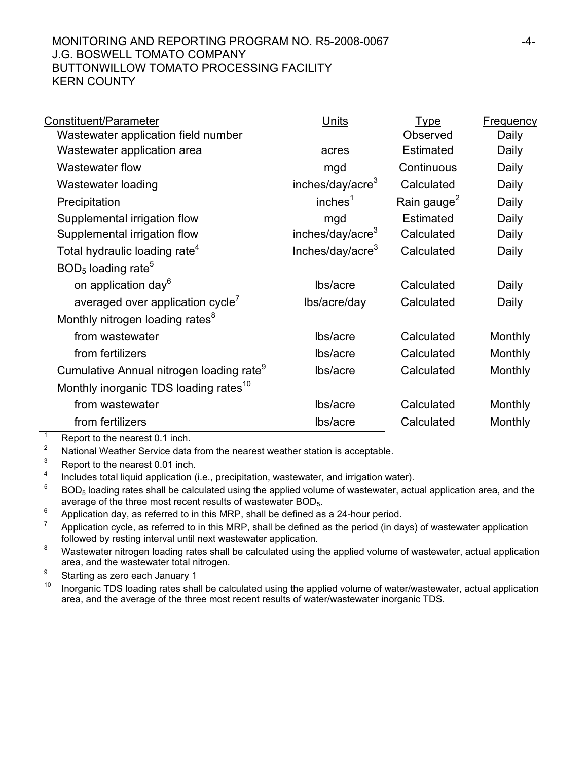## MONITORING AND REPORTING PROGRAM NO. R5-2008-0067  $-4$ -J.G. BOSWELL TOMATO COMPANY BUTTONWILLOW TOMATO PROCESSING FACILITY KERN COUNTY

| Constituent/Parameter                                | <b>Units</b>                 | <u>Type</u>             | <b>Frequency</b> |
|------------------------------------------------------|------------------------------|-------------------------|------------------|
| Wastewater application field number                  |                              | Observed                | Daily            |
| Wastewater application area                          | acres                        | <b>Estimated</b>        | Daily            |
| Wastewater flow                                      | mgd                          | Continuous              | Daily            |
| Wastewater loading                                   | inches/day/acre <sup>3</sup> | Calculated              | Daily            |
| Precipitation                                        | inches <sup>1</sup>          | Rain gauge <sup>2</sup> | Daily            |
| Supplemental irrigation flow                         | mgd                          | <b>Estimated</b>        | Daily            |
| Supplemental irrigation flow                         | inches/day/acre <sup>3</sup> | Calculated              | Daily            |
| Total hydraulic loading rate <sup>4</sup>            | Inches/day/acre <sup>3</sup> | Calculated              | Daily            |
| $BOD5$ loading rate <sup>5</sup>                     |                              |                         |                  |
| on application day <sup>6</sup>                      | Ibs/acre                     | Calculated              | Daily            |
| averaged over application cycle'                     | lbs/acre/day                 | Calculated              | Daily            |
| Monthly nitrogen loading rates <sup>8</sup>          |                              |                         |                  |
| from wastewater                                      | lbs/acre                     | Calculated              | Monthly          |
| from fertilizers                                     | lbs/acre                     | Calculated              | Monthly          |
| Cumulative Annual nitrogen loading rate <sup>9</sup> | lbs/acre                     | Calculated              | Monthly          |
| Monthly inorganic TDS loading rates <sup>10</sup>    |                              |                         |                  |
| from wastewater                                      | lbs/acre                     | Calculated              | Monthly          |
| from fertilizers                                     | lbs/acre                     | Calculated              | Monthly          |

 $\overline{1}$ Report to the nearest 0.1 inch.

2 National Weather Service data from the nearest weather station is acceptable.

3 Report to the nearest 0.01 inch.

4 Includes total liquid application (i.e., precipitation, wastewater, and irrigation water).

5 BOD<sub>5</sub> loading rates shall be calculated using the applied volume of wastewater, actual application area, and the average of the three most recent results of wastewater BOD<sub>5</sub>.

6 Application day, as referred to in this MRP, shall be defined as a 24-hour period.

7 Application cycle, as referred to in this MRP, shall be defined as the period (in days) of wastewater application followed by resting interval until next wastewater application.

8 Wastewater nitrogen loading rates shall be calculated using the applied volume of wastewater, actual application area, and the wastewater total nitrogen.

9  $\frac{9}{10}$  Starting as zero each January 1

Inorganic TDS loading rates shall be calculated using the applied volume of water/wastewater, actual application area, and the average of the three most recent results of water/wastewater inorganic TDS.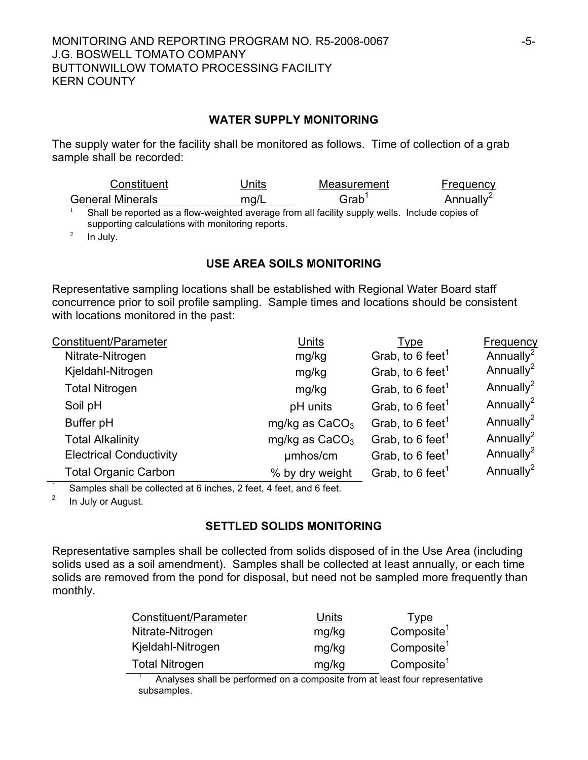#### **WATER SUPPLY MONITORING**

The supply water for the facility shall be monitored as follows. Time of collection of a grab sample shall be recorded:

| Constituent                                                                                                                                        | Units | Measurement       | Frequency             |
|----------------------------------------------------------------------------------------------------------------------------------------------------|-------|-------------------|-----------------------|
| <b>General Minerals</b>                                                                                                                            | ma/L  | Grab <sup>1</sup> | Annually <sup>2</sup> |
| Shall be reported as a flow-weighted average from all facility supply wells. Include copies of<br>supporting calculations with monitoring reports. |       |                   |                       |
| الممالية المسا                                                                                                                                     |       |                   |                       |

In July.

#### **USE AREA SOILS MONITORING**

Representative sampling locations shall be established with Regional Water Board staff concurrence prior to soil profile sampling. Sample times and locations should be consistent with locations monitored in the past:

| Constituent/Parameter          | Units            | Type                         | <b>Frequency</b>      |
|--------------------------------|------------------|------------------------------|-----------------------|
| Nitrate-Nitrogen               | mg/kg            | Grab, to 6 feet <sup>1</sup> | Annually <sup>2</sup> |
| Kjeldahl-Nitrogen              | mg/kg            | Grab, to 6 feet <sup>1</sup> | Annually <sup>2</sup> |
| <b>Total Nitrogen</b>          | mg/kg            | Grab, to 6 feet <sup>1</sup> | Annually <sup>2</sup> |
| Soil pH                        | pH units         | Grab, to 6 feet <sup>1</sup> | Annually <sup>2</sup> |
| Buffer pH                      | mg/kg as $CaCO3$ | Grab, to 6 feet <sup>1</sup> | Annually <sup>2</sup> |
| <b>Total Alkalinity</b>        | mg/kg as $CaCO3$ | Grab, to 6 feet <sup>1</sup> | Annually <sup>2</sup> |
| <b>Electrical Conductivity</b> | umhos/cm         | Grab, to 6 feet <sup>1</sup> | Annually <sup>2</sup> |
| <b>Total Organic Carbon</b>    | % by dry weight  | Grab, to 6 feet <sup>1</sup> | Annually <sup>2</sup> |

1 Samples shall be collected at 6 inches, 2 feet, 4 feet, and 6 feet.

2 In July or August.

## **SETTLED SOLIDS MONITORING**

Representative samples shall be collected from solids disposed of in the Use Area (including solids used as a soil amendment). Samples shall be collected at least annually, or each time solids are removed from the pond for disposal, but need not be sampled more frequently than monthly.

| Constituent/Parameter | Units | Type                   |
|-----------------------|-------|------------------------|
| Nitrate-Nitrogen      | mg/kg | Composite <sup>1</sup> |
| Kjeldahl-Nitrogen     | mg/kg | Composite <sup>1</sup> |
| <b>Total Nitrogen</b> | mg/kg | Composite <sup>1</sup> |
|                       |       |                        |

1 Analyses shall be performed on a composite from at least four representative subsamples.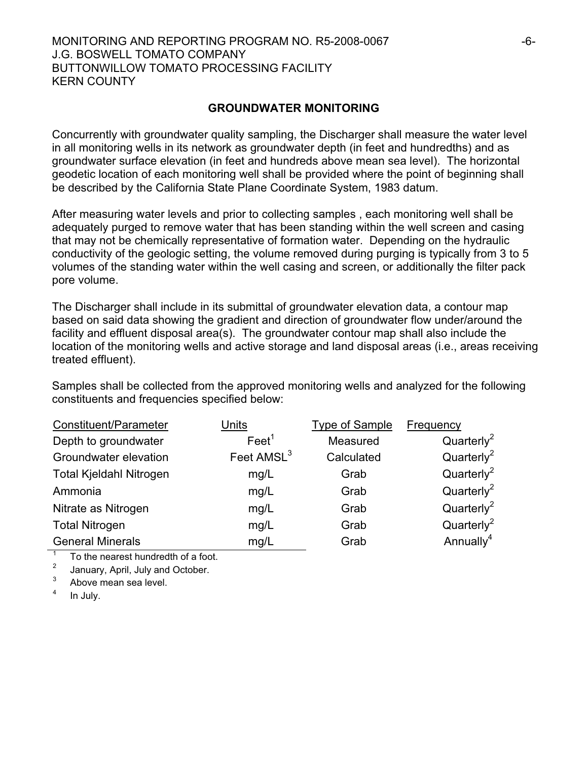#### MONITORING AND REPORTING PROGRAM NO. R5-2008-0067  $-6$ -J.G. BOSWELL TOMATO COMPANY BUTTONWILLOW TOMATO PROCESSING FACILITY KERN COUNTY

#### **GROUNDWATER MONITORING**

Concurrently with groundwater quality sampling, the Discharger shall measure the water level in all monitoring wells in its network as groundwater depth (in feet and hundredths) and as groundwater surface elevation (in feet and hundreds above mean sea level). The horizontal geodetic location of each monitoring well shall be provided where the point of beginning shall be described by the California State Plane Coordinate System, 1983 datum.

After measuring water levels and prior to collecting samples , each monitoring well shall be adequately purged to remove water that has been standing within the well screen and casing that may not be chemically representative of formation water. Depending on the hydraulic conductivity of the geologic setting, the volume removed during purging is typically from 3 to 5 volumes of the standing water within the well casing and screen, or additionally the filter pack pore volume.

The Discharger shall include in its submittal of groundwater elevation data, a contour map based on said data showing the gradient and direction of groundwater flow under/around the facility and effluent disposal area(s). The groundwater contour map shall also include the location of the monitoring wells and active storage and land disposal areas (i.e., areas receiving treated effluent).

Samples shall be collected from the approved monitoring wells and analyzed for the following constituents and frequencies specified below:

| Constituent/Parameter   | Units                  | <b>Type of Sample</b> | Frequency              |
|-------------------------|------------------------|-----------------------|------------------------|
| Depth to groundwater    | Feet <sup>1</sup>      | Measured              | Quarterly <sup>2</sup> |
| Groundwater elevation   | Feet AMSL <sup>3</sup> | Calculated            | Quarterly <sup>2</sup> |
| Total Kjeldahl Nitrogen | mg/L                   | Grab                  | Quarterly <sup>2</sup> |
| Ammonia                 | mg/L                   | Grab                  | Quarterly <sup>2</sup> |
| Nitrate as Nitrogen     | mg/L                   | Grab                  | Quarterly <sup>2</sup> |
| <b>Total Nitrogen</b>   | mg/L                   | Grab                  | Quarterly <sup>2</sup> |
| <b>General Minerals</b> | mg/L                   | Grab                  | Annually <sup>4</sup>  |

 $\overline{1}$ To the nearest hundredth of a foot.

2 January, April, July and October.

3 Above mean sea level.

4 In July.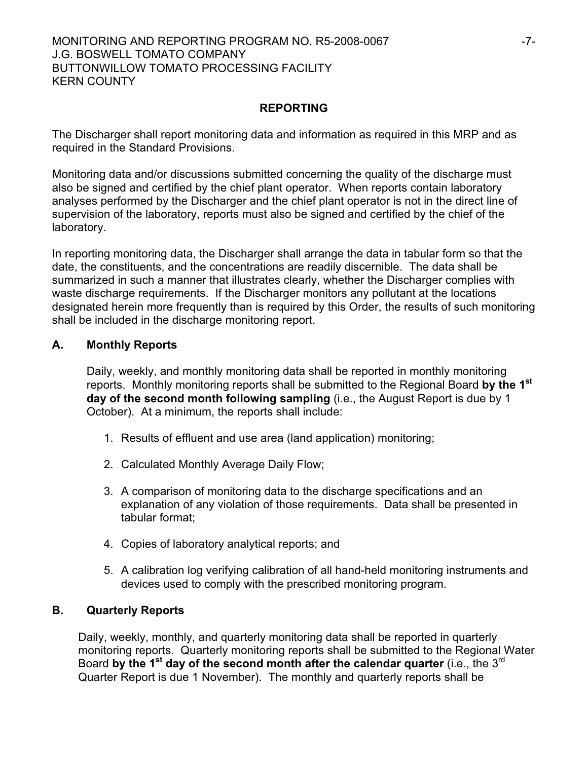#### MONITORING AND REPORTING PROGRAM NO. R5-2008-0067 F7-J.G. BOSWELL TOMATO COMPANY BUTTONWILLOW TOMATO PROCESSING FACILITY KERN COUNTY

## **REPORTING**

The Discharger shall report monitoring data and information as required in this MRP and as required in the Standard Provisions.

Monitoring data and/or discussions submitted concerning the quality of the discharge must also be signed and certified by the chief plant operator. When reports contain laboratory analyses performed by the Discharger and the chief plant operator is not in the direct line of supervision of the laboratory, reports must also be signed and certified by the chief of the laboratory.

In reporting monitoring data, the Discharger shall arrange the data in tabular form so that the date, the constituents, and the concentrations are readily discernible. The data shall be summarized in such a manner that illustrates clearly, whether the Discharger complies with waste discharge requirements. If the Discharger monitors any pollutant at the locations designated herein more frequently than is required by this Order, the results of such monitoring shall be included in the discharge monitoring report.

## **A. Monthly Reports**

Daily, weekly, and monthly monitoring data shall be reported in monthly monitoring reports. Monthly monitoring reports shall be submitted to the Regional Board **by the 1st day of the second month following sampling** (i.e., the August Report is due by 1 October). At a minimum, the reports shall include:

- 1. Results of effluent and use area (land application) monitoring;
- 2. Calculated Monthly Average Daily Flow;
- 3. A comparison of monitoring data to the discharge specifications and an explanation of any violation of those requirements. Data shall be presented in tabular format;
- 4. Copies of laboratory analytical reports; and
- 5. A calibration log verifying calibration of all hand-held monitoring instruments and devices used to comply with the prescribed monitoring program.

#### **B. Quarterly Reports**

Daily, weekly, monthly, and quarterly monitoring data shall be reported in quarterly monitoring reports. Quarterly monitoring reports shall be submitted to the Regional Water Board by the 1<sup>st</sup> day of the second month after the calendar quarter (i.e., the 3<sup>rd</sup> Quarter Report is due 1 November). The monthly and quarterly reports shall be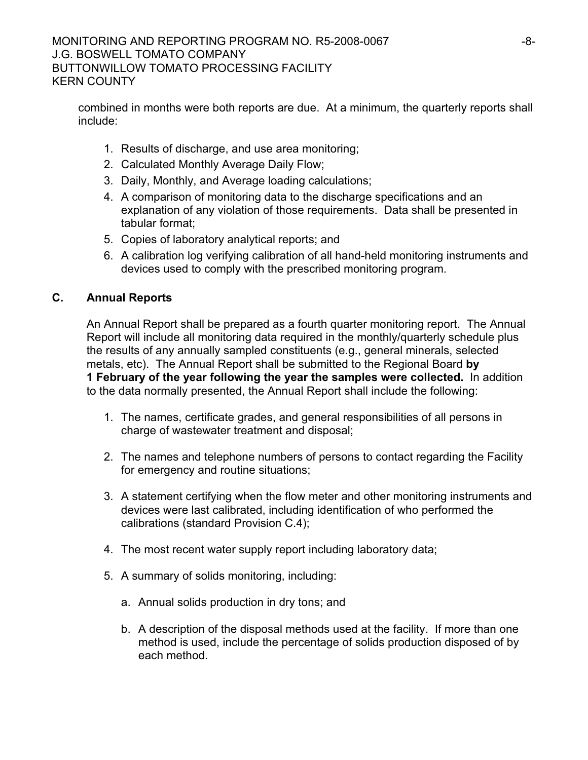combined in months were both reports are due. At a minimum, the quarterly reports shall include:

- 1. Results of discharge, and use area monitoring;
- 2. Calculated Monthly Average Daily Flow;
- 3. Daily, Monthly, and Average loading calculations;
- 4. A comparison of monitoring data to the discharge specifications and an explanation of any violation of those requirements. Data shall be presented in tabular format;
- 5. Copies of laboratory analytical reports; and
- 6. A calibration log verifying calibration of all hand-held monitoring instruments and devices used to comply with the prescribed monitoring program.

# **C. Annual Reports**

 An Annual Report shall be prepared as a fourth quarter monitoring report. The Annual Report will include all monitoring data required in the monthly/quarterly schedule plus the results of any annually sampled constituents (e.g., general minerals, selected metals, etc). The Annual Report shall be submitted to the Regional Board **by 1 February of the year following the year the samples were collected.** In addition to the data normally presented, the Annual Report shall include the following:

- 1. The names, certificate grades, and general responsibilities of all persons in charge of wastewater treatment and disposal;
- 2. The names and telephone numbers of persons to contact regarding the Facility for emergency and routine situations;
- 3. A statement certifying when the flow meter and other monitoring instruments and devices were last calibrated, including identification of who performed the calibrations (standard Provision C.4);
- 4. The most recent water supply report including laboratory data;
- 5. A summary of solids monitoring, including:
	- a. Annual solids production in dry tons; and
	- b. A description of the disposal methods used at the facility. If more than one method is used, include the percentage of solids production disposed of by each method.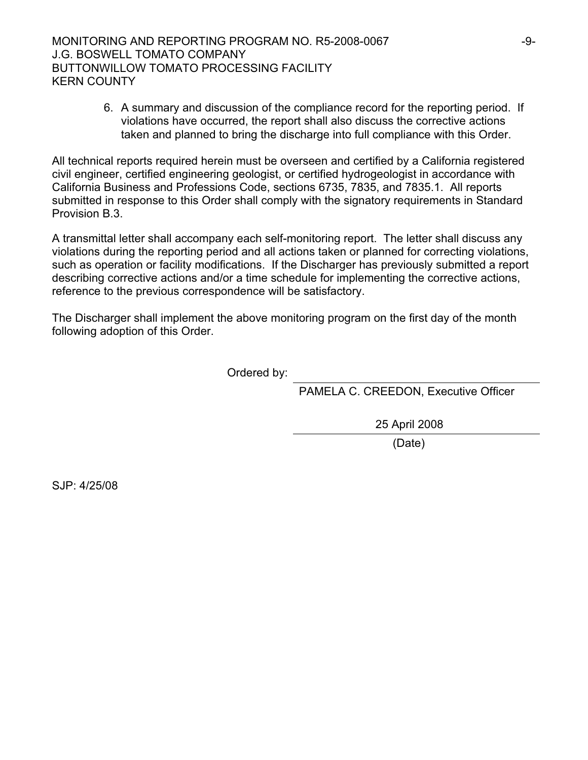6. A summary and discussion of the compliance record for the reporting period. If violations have occurred, the report shall also discuss the corrective actions taken and planned to bring the discharge into full compliance with this Order.

All technical reports required herein must be overseen and certified by a California registered civil engineer, certified engineering geologist, or certified hydrogeologist in accordance with California Business and Professions Code, sections 6735, 7835, and 7835.1. All reports submitted in response to this Order shall comply with the signatory requirements in Standard Provision B.3.

A transmittal letter shall accompany each self-monitoring report. The letter shall discuss any violations during the reporting period and all actions taken or planned for correcting violations, such as operation or facility modifications. If the Discharger has previously submitted a report describing corrective actions and/or a time schedule for implementing the corrective actions, reference to the previous correspondence will be satisfactory.

The Discharger shall implement the above monitoring program on the first day of the month following adoption of this Order.

Ordered by:

PAMELA C. CREEDON, Executive Officer

25 April 2008

(Date)

SJP: 4/25/08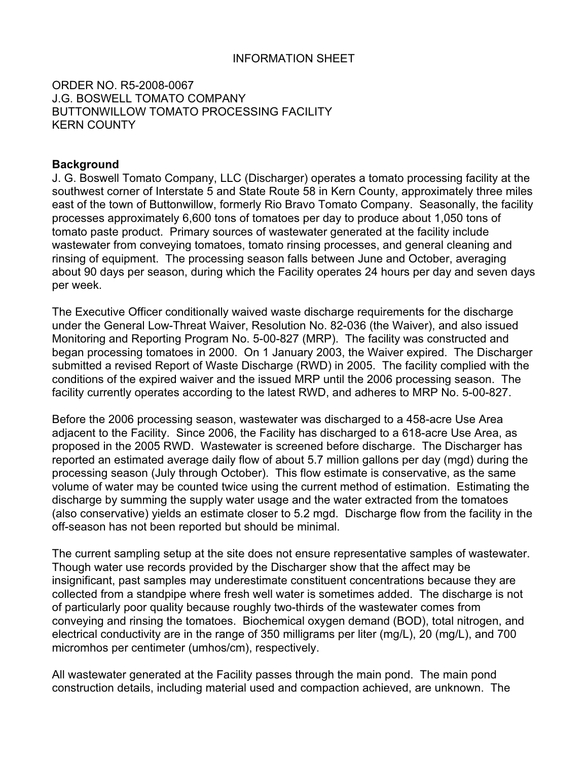#### INFORMATION SHEET

ORDER NO. R5-2008-0067 J.G. BOSWELL TOMATO COMPANY BUTTONWILLOW TOMATO PROCESSING FACILITY KERN COUNTY

#### **Background**

J. G. Boswell Tomato Company, LLC (Discharger) operates a tomato processing facility at the southwest corner of Interstate 5 and State Route 58 in Kern County, approximately three miles east of the town of Buttonwillow, formerly Rio Bravo Tomato Company. Seasonally, the facility processes approximately 6,600 tons of tomatoes per day to produce about 1,050 tons of tomato paste product. Primary sources of wastewater generated at the facility include wastewater from conveying tomatoes, tomato rinsing processes, and general cleaning and rinsing of equipment. The processing season falls between June and October, averaging about 90 days per season, during which the Facility operates 24 hours per day and seven days per week.

The Executive Officer conditionally waived waste discharge requirements for the discharge under the General Low-Threat Waiver, Resolution No. 82-036 (the Waiver), and also issued Monitoring and Reporting Program No. 5-00-827 (MRP). The facility was constructed and began processing tomatoes in 2000. On 1 January 2003, the Waiver expired. The Discharger submitted a revised Report of Waste Discharge (RWD) in 2005. The facility complied with the conditions of the expired waiver and the issued MRP until the 2006 processing season. The facility currently operates according to the latest RWD, and adheres to MRP No. 5-00-827.

Before the 2006 processing season, wastewater was discharged to a 458-acre Use Area adjacent to the Facility. Since 2006, the Facility has discharged to a 618-acre Use Area, as proposed in the 2005 RWD. Wastewater is screened before discharge. The Discharger has reported an estimated average daily flow of about 5.7 million gallons per day (mgd) during the processing season (July through October). This flow estimate is conservative, as the same volume of water may be counted twice using the current method of estimation. Estimating the discharge by summing the supply water usage and the water extracted from the tomatoes (also conservative) yields an estimate closer to 5.2 mgd. Discharge flow from the facility in the off-season has not been reported but should be minimal.

The current sampling setup at the site does not ensure representative samples of wastewater. Though water use records provided by the Discharger show that the affect may be insignificant, past samples may underestimate constituent concentrations because they are collected from a standpipe where fresh well water is sometimes added. The discharge is not of particularly poor quality because roughly two-thirds of the wastewater comes from conveying and rinsing the tomatoes. Biochemical oxygen demand (BOD), total nitrogen, and electrical conductivity are in the range of 350 milligrams per liter (mg/L), 20 (mg/L), and 700 micromhos per centimeter (umhos/cm), respectively.

All wastewater generated at the Facility passes through the main pond. The main pond construction details, including material used and compaction achieved, are unknown. The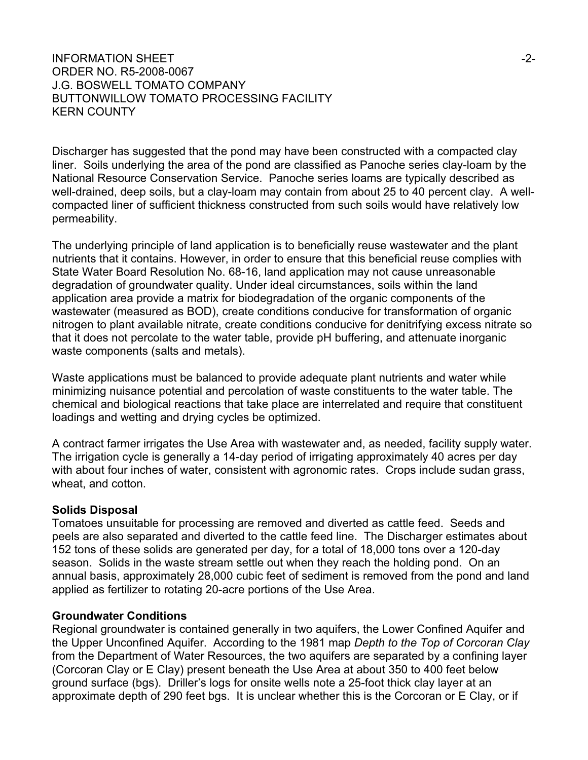#### INFORMATION SHEET  $\sim$ ORDER NO. R5-2008-0067 J.G. BOSWELL TOMATO COMPANY BUTTONWILLOW TOMATO PROCESSING FACILITY KERN COUNTY

Discharger has suggested that the pond may have been constructed with a compacted clay liner. Soils underlying the area of the pond are classified as Panoche series clay-loam by the National Resource Conservation Service. Panoche series loams are typically described as well-drained, deep soils, but a clay-loam may contain from about 25 to 40 percent clay. A wellcompacted liner of sufficient thickness constructed from such soils would have relatively low permeability.

The underlying principle of land application is to beneficially reuse wastewater and the plant nutrients that it contains. However, in order to ensure that this beneficial reuse complies with State Water Board Resolution No. 68-16, land application may not cause unreasonable degradation of groundwater quality. Under ideal circumstances, soils within the land application area provide a matrix for biodegradation of the organic components of the wastewater (measured as BOD), create conditions conducive for transformation of organic nitrogen to plant available nitrate, create conditions conducive for denitrifying excess nitrate so that it does not percolate to the water table, provide pH buffering, and attenuate inorganic waste components (salts and metals).

Waste applications must be balanced to provide adequate plant nutrients and water while minimizing nuisance potential and percolation of waste constituents to the water table. The chemical and biological reactions that take place are interrelated and require that constituent loadings and wetting and drying cycles be optimized.

A contract farmer irrigates the Use Area with wastewater and, as needed, facility supply water. The irrigation cycle is generally a 14-day period of irrigating approximately 40 acres per day with about four inches of water, consistent with agronomic rates. Crops include sudan grass, wheat, and cotton.

#### **Solids Disposal**

Tomatoes unsuitable for processing are removed and diverted as cattle feed. Seeds and peels are also separated and diverted to the cattle feed line. The Discharger estimates about 152 tons of these solids are generated per day, for a total of 18,000 tons over a 120-day season. Solids in the waste stream settle out when they reach the holding pond. On an annual basis, approximately 28,000 cubic feet of sediment is removed from the pond and land applied as fertilizer to rotating 20-acre portions of the Use Area.

#### **Groundwater Conditions**

Regional groundwater is contained generally in two aquifers, the Lower Confined Aquifer and the Upper Unconfined Aquifer. According to the 1981 map *Depth to the Top of Corcoran Clay* from the Department of Water Resources, the two aquifers are separated by a confining layer (Corcoran Clay or E Clay) present beneath the Use Area at about 350 to 400 feet below ground surface (bgs). Driller's logs for onsite wells note a 25-foot thick clay layer at an approximate depth of 290 feet bgs. It is unclear whether this is the Corcoran or E Clay, or if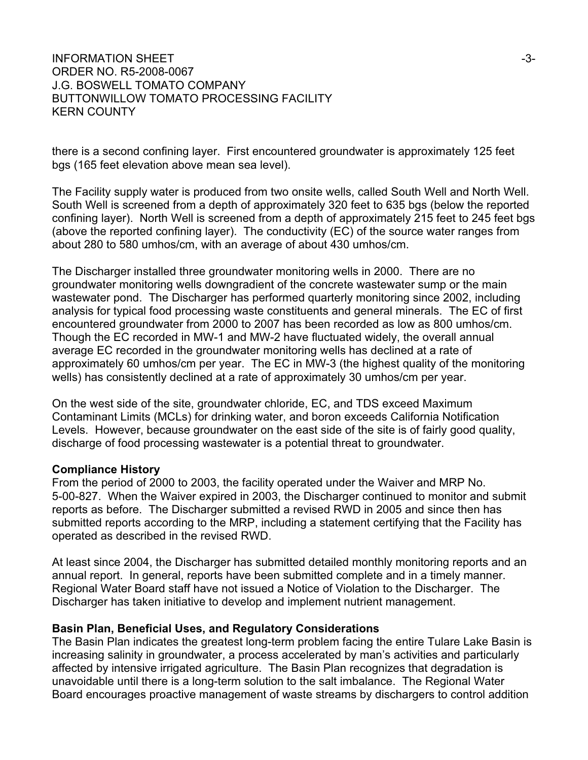#### INFORMATION SHEET  $\sim$ ORDER NO. R5-2008-0067 J.G. BOSWELL TOMATO COMPANY BUTTONWILLOW TOMATO PROCESSING FACILITY KERN COUNTY

there is a second confining layer. First encountered groundwater is approximately 125 feet bgs (165 feet elevation above mean sea level).

The Facility supply water is produced from two onsite wells, called South Well and North Well. South Well is screened from a depth of approximately 320 feet to 635 bgs (below the reported confining layer). North Well is screened from a depth of approximately 215 feet to 245 feet bgs (above the reported confining layer). The conductivity (EC) of the source water ranges from about 280 to 580 umhos/cm, with an average of about 430 umhos/cm.

The Discharger installed three groundwater monitoring wells in 2000. There are no groundwater monitoring wells downgradient of the concrete wastewater sump or the main wastewater pond. The Discharger has performed quarterly monitoring since 2002, including analysis for typical food processing waste constituents and general minerals. The EC of first encountered groundwater from 2000 to 2007 has been recorded as low as 800 umhos/cm. Though the EC recorded in MW-1 and MW-2 have fluctuated widely, the overall annual average EC recorded in the groundwater monitoring wells has declined at a rate of approximately 60 umhos/cm per year. The EC in MW-3 (the highest quality of the monitoring wells) has consistently declined at a rate of approximately 30 umhos/cm per year.

On the west side of the site, groundwater chloride, EC, and TDS exceed Maximum Contaminant Limits (MCLs) for drinking water, and boron exceeds California Notification Levels. However, because groundwater on the east side of the site is of fairly good quality, discharge of food processing wastewater is a potential threat to groundwater.

#### **Compliance History**

From the period of 2000 to 2003, the facility operated under the Waiver and MRP No. 5-00-827. When the Waiver expired in 2003, the Discharger continued to monitor and submit reports as before. The Discharger submitted a revised RWD in 2005 and since then has submitted reports according to the MRP, including a statement certifying that the Facility has operated as described in the revised RWD.

At least since 2004, the Discharger has submitted detailed monthly monitoring reports and an annual report. In general, reports have been submitted complete and in a timely manner. Regional Water Board staff have not issued a Notice of Violation to the Discharger. The Discharger has taken initiative to develop and implement nutrient management.

#### **Basin Plan, Beneficial Uses, and Regulatory Considerations**

The Basin Plan indicates the greatest long-term problem facing the entire Tulare Lake Basin is increasing salinity in groundwater, a process accelerated by man's activities and particularly affected by intensive irrigated agriculture. The Basin Plan recognizes that degradation is unavoidable until there is a long-term solution to the salt imbalance. The Regional Water Board encourages proactive management of waste streams by dischargers to control addition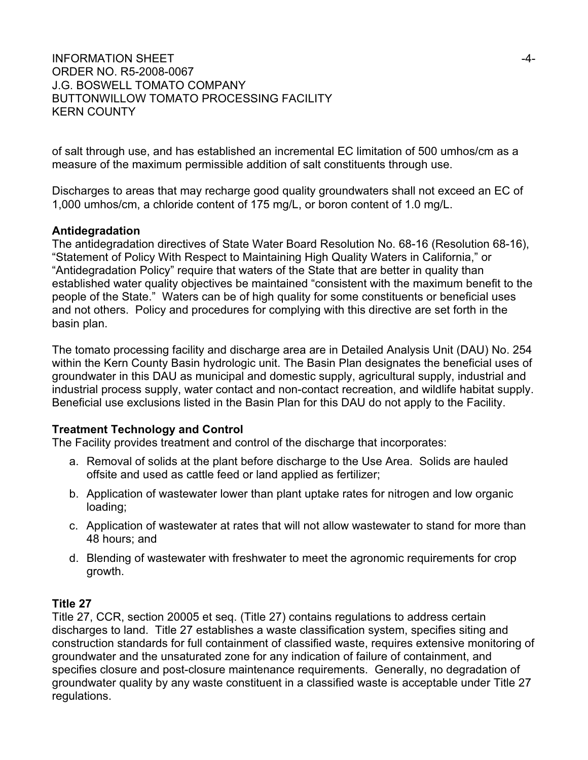## INFORMATION SHEET  $\overline{a}$ -4-ORDER NO. R5-2008-0067 J.G. BOSWELL TOMATO COMPANY BUTTONWILLOW TOMATO PROCESSING FACILITY KERN COUNTY

of salt through use, and has established an incremental EC limitation of 500 umhos/cm as a measure of the maximum permissible addition of salt constituents through use.

Discharges to areas that may recharge good quality groundwaters shall not exceed an EC of 1,000 umhos/cm, a chloride content of 175 mg/L, or boron content of 1.0 mg/L.

## **Antidegradation**

The antidegradation directives of State Water Board Resolution No. 68-16 (Resolution 68-16), "Statement of Policy With Respect to Maintaining High Quality Waters in California," or "Antidegradation Policy" require that waters of the State that are better in quality than established water quality objectives be maintained "consistent with the maximum benefit to the people of the State." Waters can be of high quality for some constituents or beneficial uses and not others. Policy and procedures for complying with this directive are set forth in the basin plan.

The tomato processing facility and discharge area are in Detailed Analysis Unit (DAU) No. 254 within the Kern County Basin hydrologic unit. The Basin Plan designates the beneficial uses of groundwater in this DAU as municipal and domestic supply, agricultural supply, industrial and industrial process supply, water contact and non-contact recreation, and wildlife habitat supply. Beneficial use exclusions listed in the Basin Plan for this DAU do not apply to the Facility.

## **Treatment Technology and Control**

The Facility provides treatment and control of the discharge that incorporates:

- a. Removal of solids at the plant before discharge to the Use Area. Solids are hauled offsite and used as cattle feed or land applied as fertilizer;
- b. Application of wastewater lower than plant uptake rates for nitrogen and low organic loading;
- c. Application of wastewater at rates that will not allow wastewater to stand for more than 48 hours; and
- d. Blending of wastewater with freshwater to meet the agronomic requirements for crop growth.

# **Title 27**

Title 27, CCR, section 20005 et seq. (Title 27) contains regulations to address certain discharges to land. Title 27 establishes a waste classification system, specifies siting and construction standards for full containment of classified waste, requires extensive monitoring of groundwater and the unsaturated zone for any indication of failure of containment, and specifies closure and post-closure maintenance requirements. Generally, no degradation of groundwater quality by any waste constituent in a classified waste is acceptable under Title 27 regulations.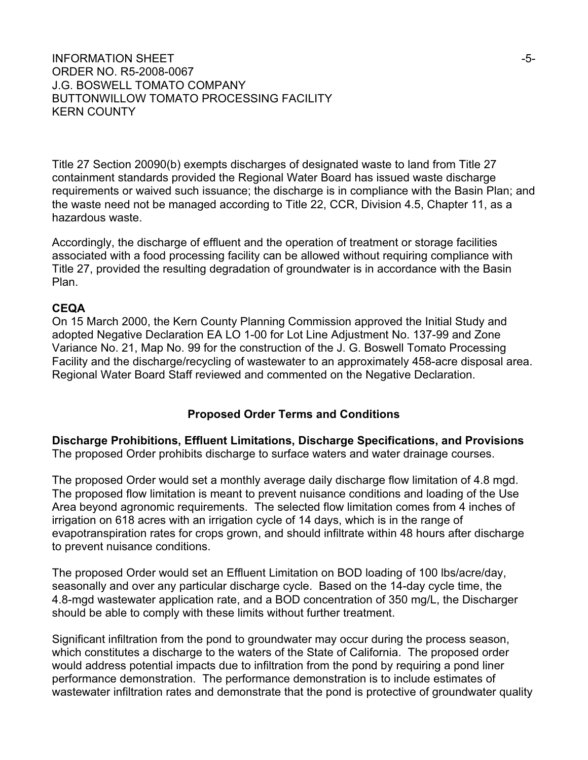#### INFORMATION SHEET  $\sim$ ORDER NO. R5-2008-0067 J.G. BOSWELL TOMATO COMPANY BUTTONWILLOW TOMATO PROCESSING FACILITY KERN COUNTY

Title 27 Section 20090(b) exempts discharges of designated waste to land from Title 27 containment standards provided the Regional Water Board has issued waste discharge requirements or waived such issuance; the discharge is in compliance with the Basin Plan; and the waste need not be managed according to Title 22, CCR, Division 4.5, Chapter 11, as a hazardous waste.

Accordingly, the discharge of effluent and the operation of treatment or storage facilities associated with a food processing facility can be allowed without requiring compliance with Title 27, provided the resulting degradation of groundwater is in accordance with the Basin Plan.

#### **CEQA**

On 15 March 2000, the Kern County Planning Commission approved the Initial Study and adopted Negative Declaration EA LO 1-00 for Lot Line Adjustment No. 137-99 and Zone Variance No. 21, Map No. 99 for the construction of the J. G. Boswell Tomato Processing Facility and the discharge/recycling of wastewater to an approximately 458-acre disposal area. Regional Water Board Staff reviewed and commented on the Negative Declaration.

#### **Proposed Order Terms and Conditions**

**Discharge Prohibitions, Effluent Limitations, Discharge Specifications, and Provisions**  The proposed Order prohibits discharge to surface waters and water drainage courses.

The proposed Order would set a monthly average daily discharge flow limitation of 4.8 mgd. The proposed flow limitation is meant to prevent nuisance conditions and loading of the Use Area beyond agronomic requirements. The selected flow limitation comes from 4 inches of irrigation on 618 acres with an irrigation cycle of 14 days, which is in the range of evapotranspiration rates for crops grown, and should infiltrate within 48 hours after discharge to prevent nuisance conditions.

The proposed Order would set an Effluent Limitation on BOD loading of 100 lbs/acre/day, seasonally and over any particular discharge cycle. Based on the 14-day cycle time, the 4.8-mgd wastewater application rate, and a BOD concentration of 350 mg/L, the Discharger should be able to comply with these limits without further treatment.

Significant infiltration from the pond to groundwater may occur during the process season, which constitutes a discharge to the waters of the State of California. The proposed order would address potential impacts due to infiltration from the pond by requiring a pond liner performance demonstration. The performance demonstration is to include estimates of wastewater infiltration rates and demonstrate that the pond is protective of groundwater quality